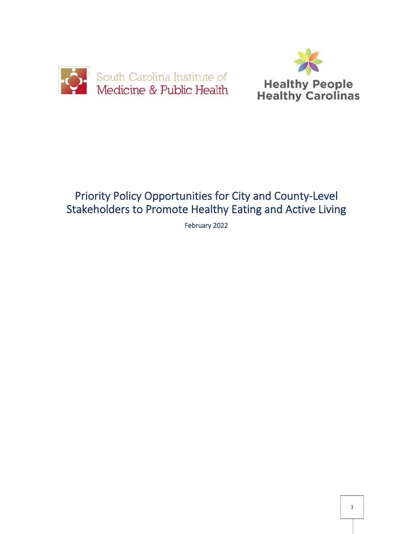



# Priority Policy Opportunities for City and County-Level Stakeholders to Promote Healthy Eating and Active Living

February 2022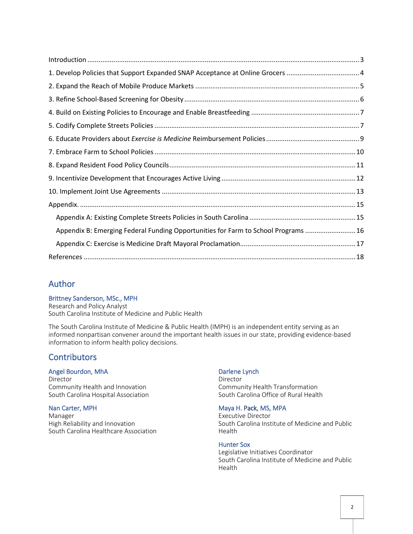| Appendix B: Emerging Federal Funding Opportunities for Farm to School Programs  16 |
|------------------------------------------------------------------------------------|
|                                                                                    |
|                                                                                    |

### Author

#### Brittney Sanderson, MSc., MPH

Research and Policy Analyst South Carolina Institute of Medicine and Public Health

The South Carolina Institute of Medicine & Public Health (IMPH) is an independent entity serving as an informed nonpartisan convener around the important health issues in our state, providing evidence-based information to inform health policy decisions.

#### **Contributors**

#### Angel Bourdon, MhA

Director Community Health and Innovation South Carolina Hospital Association

#### Nan Carter, MPH

Manager High Reliability and Innovation South Carolina Healthcare Association

#### Darlene Lynch

Director Community Health Transformation South Carolina Office of Rural Health

#### Maya H. Pack, MS, MPA

Executive Director South Carolina Institute of Medicine and Public Health

#### Hunter Sox

Legislative Initiatives Coordinator South Carolina Institute of Medicine and Public Health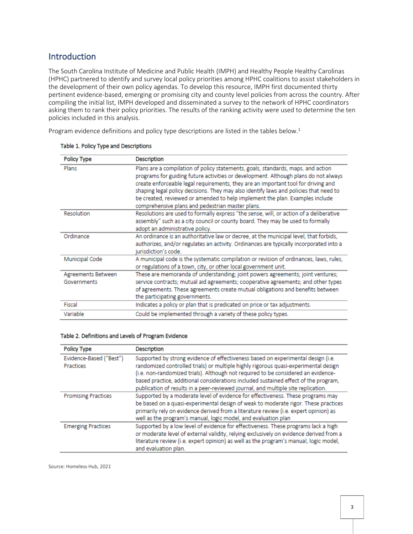### <span id="page-2-0"></span>**Introduction**

The South Carolina Institute of Medicine and Public Health (IMPH) and Healthy People Healthy Carolinas (HPHC) partnered to identify and survey local policy priorities among HPHC coalitions to assist stakeholders in the development of their own policy agendas. To develop this resource, IMPH first documented thirty pertinent evidence-based, emerging or promising city and county level policies from across the country. After compiling the initial list, IMPH developed and disseminated a survey to the network of HPHC coordinators asking them to rank their policy priorities. The results of the ranking activity were used to determine the ten policies included in this analysis.

Program evidence definitions and policy type descriptions are listed in the tables below.<sup>1</sup>

| Policy Type                       | Description                                                                                                                                                                                                                                                                                                                                                                                                                                                                               |
|-----------------------------------|-------------------------------------------------------------------------------------------------------------------------------------------------------------------------------------------------------------------------------------------------------------------------------------------------------------------------------------------------------------------------------------------------------------------------------------------------------------------------------------------|
| Plans                             | Plans are a compilation of policy statements, goals, standards, maps, and action<br>programs for guiding future activities or development. Although plans do not always<br>create enforceable legal requirements, they are an important tool for driving and<br>shaping legal policy decisions. They may also identify laws and policies that need to<br>be created, reviewed or amended to help implement the plan. Examples include<br>comprehensive plans and pedestrian master plans. |
| Resolution                        | Resolutions are used to formally express "the sense, will, or action of a deliberative<br>assembly" such as a city council or county board. They may be used to formally<br>adopt an administrative policy.                                                                                                                                                                                                                                                                               |
| Ordinance                         | An ordinance is an authoritative law or decree, at the municipal level, that forbids,<br>authorizes, and/or regulates an activity. Ordinances are typically incorporated into a<br>iurisdiction's code.                                                                                                                                                                                                                                                                                   |
| Municipal Code                    | A municipal code is the systematic compilation or revision of ordinances, laws, rules,<br>or regulations of a town, city, or other local government unit.                                                                                                                                                                                                                                                                                                                                 |
| Agreements Between<br>Governments | These are memoranda of understanding; joint powers agreements; joint ventures;<br>service contracts; mutual aid agreements; cooperative agreements; and other types<br>of agreements. These agreements create mutual obligations and benefits between<br>the participating governments.                                                                                                                                                                                                   |
| Fiscal                            | Indicates a policy or plan that is predicated on price or tax adjustments.                                                                                                                                                                                                                                                                                                                                                                                                                |
| Variable                          | Could be implemented through a variety of these policy types.                                                                                                                                                                                                                                                                                                                                                                                                                             |

#### Table 1. Policy Type and Descriptions

#### Table 2. Definitions and Levels of Program Evidence

| <b>Policy Type</b>                   | <b>Description</b>                                                                                                                                                                                                                                                                                                                                                                                                                       |
|--------------------------------------|------------------------------------------------------------------------------------------------------------------------------------------------------------------------------------------------------------------------------------------------------------------------------------------------------------------------------------------------------------------------------------------------------------------------------------------|
| Evidence-Based ("Best")<br>Practices | Supported by strong evidence of effectiveness based on experimental design (i.e.<br>randomized controlled trials) or multiple highly rigorous quasi-experimental design<br>(i.e. non-randomized trials). Although not required to be considered an evidence-<br>based practice, additional considerations included sustained effect of the program,<br>publication of results in a peer-reviewed journal, and multiple site replication. |
| <b>Promising Practices</b>           | Supported by a moderate level of evidence for effectiveness. These programs may<br>be based on a quasi-experimental design of weak to moderate rigor. These practices<br>primarily rely on evidence derived from a literature review (i.e. expert opinion) as<br>well as the program's manual, logic model, and evaluation plan                                                                                                          |
| <b>Emerging Practices</b>            | Supported by a low level of evidence for effectiveness. These programs lack a high<br>or moderate level of external validity, relying exclusively on evidence derived from a<br>literature review (i.e. expert opinion) as well as the program's manual, logic model,<br>and evaluation plan.                                                                                                                                            |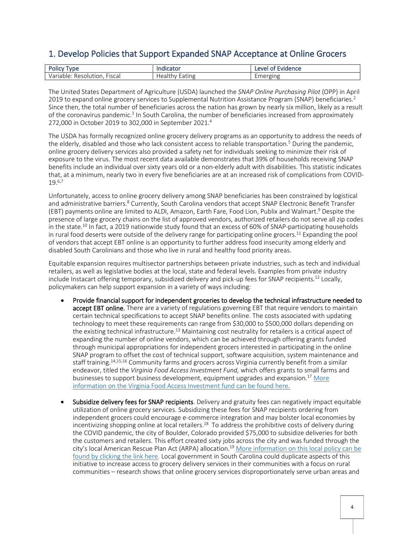### <span id="page-3-0"></span>1. Develop Policies that Support Expanded SNAP Acceptance at Online Grocers

| De<br><b>VDE</b><br>.<br>טווט׳                                          | .<br>.cator                     | :vidence<br>AVA<br>--             |
|-------------------------------------------------------------------------|---------------------------------|-----------------------------------|
| $-1$<br>·iscal<br>100 <sup>2</sup><br>ution<br>Reso<br>Ωe<br>тu<br>1d I | $\cdots$<br>une<br>сa<br>e di " | $\sim$<br>Emerging<br><b>LIIL</b> |

The United States Department of Agriculture (USDA) launched the *SNAP Online Purchasing Pilot* (OPP) in April 2019 to expand online grocery services to Supplemental Nutrition Assistance Program (SNAP) beneficiaries.<sup>2</sup> Since then, the total number of beneficiaries across the nation has grown by nearly six million, likely as a result of the coronavirus pandemic.<sup>3</sup> In South Carolina, the number of beneficiaries increased from approximately 272,000 in October 2019 to 302,000 in September 2021.<sup>4</sup>

The USDA has formally recognized online grocery delivery programs as an opportunity to address the needs of the elderly, disabled and those who lack consistent access to reliable transportation.<sup>5</sup> During the pandemic, online grocery delivery services also provided a safety net for individuals seeking to minimize their risk of exposure to the virus. The most recent data available demonstrates that 39% of households receiving SNAP benefits include an individual over sixty years old or a non-elderly adult with disabilities. This statistic indicates that, at a minimum, nearly two in every five beneficiaries are at an increased risk of complications from COVID-19.6,7

Unfortunately, access to online grocery delivery among SNAP beneficiaries has been constrained by logistical and administrative barriers.<sup>8</sup> Currently, South Carolina vendors that accept SNAP Electronic Benefit Transfer (EBT) payments online are limited to ALDI, Amazon, Earth Fare, Food Lion, Publix and Walmart.<sup>9</sup> Despite the presence of large grocery chains on the list of approved vendors, authorized retailers do not serve all zip codes in the state.<sup>10</sup> In fact, a 2019 nationwide study found that an excess of 60% of SNAP-participating households in rural food deserts were outside of the delivery range for participating online grocers.<sup>11</sup> Expanding the pool of vendors that accept EBT online is an opportunity to further address food insecurity among elderly and disabled South Carolinians and those who live in rural and healthy food priority areas.

Equitable expansion requires multisector partnerships between private industries, such as tech and individual retailers, as well as legislative bodies at the local, state and federal levels. Examples from private industry include Instacart offering temporary, subsidized delivery and pick-up fees for SNAP recipients.<sup>12</sup> Locally, policymakers can help support expansion in a variety of ways including:

- Provide financial support for independent groceries to develop the technical infrastructure needed to accept EBT online. There are a variety of regulations governing EBT that require vendors to maintain certain technical specifications to accept SNAP benefits online. The costs associated with updating technology to meet these requirements can range from \$30,000 to \$500,000 dollars depending on the existing technical infrastructure.<sup>13</sup> Maintaining cost neutrality for retailers is a critical aspect of expanding the number of online vendors, which can be achieved through offering grants funded through municipal appropriations for independent grocers interested in participating in the online SNAP program to offset the cost of technical support, software acquisition, system maintenance and staff training.<sup>14,15,16</sup> Community farms and grocers across Virginia currently benefit from a similar endeavor, titled the *Virginia Food Access Investment Fund,* which offers grants to small farms and businesses to support business development, equipment upgrades and expansion.<sup>17</sup> More [information on the Virginia Food Access Investment fund can be found here.](https://www.vdacs.virginia.gov/marketing-food-access-investment-fund.shtml)
- Subsidize delivery fees for SNAP recipients. Delivery and gratuity fees can negatively impact equitable utilization of online grocery services. Subsidizing these fees for SNAP recipients ordering from independent grocers could encourage e-commerce integration and may bolster local economies by incentivizing shopping online at local retailers.<sup>18</sup> To address the prohibitive costs of delivery during the COVID pandemic, the city of Boulder, Colorado provided \$75,000 to subsidize deliveries for both the customers and retailers. This effort created sixty jobs across the city and was funded through the city's local American Rescue Plan Act (ARPA) allocation.<sup>19</sup> [More information on this local policy can](https://bouldercolorado.gov/news/city-boulder-brings-back-free-delivery-subsidy-nosh-boulder-through-february-2022#:~:text=The%20program%2C%20which%20employs%20local,20%2C%202021%2C%20through%20Feb.) be [found by clicking the link here.](https://bouldercolorado.gov/news/city-boulder-brings-back-free-delivery-subsidy-nosh-boulder-through-february-2022#:~:text=The%20program%2C%20which%20employs%20local,20%2C%202021%2C%20through%20Feb.) Local government in South Carolina could duplicate aspects of this initiative to increase access to grocery delivery services in their communities with a focus on rural communities – research shows that online grocery services disproportionately serve urban areas and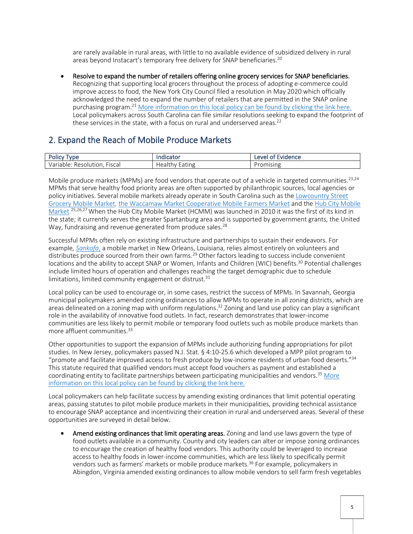are rarely available in rural areas, with little to no available evidence of subsidized delivery in rural areas beyond Instacart's temporary free delivery for SNAP beneficiaries.<sup>20</sup>

• Resolve to expand the number of retailers offering online grocery services for SNAP beneficiaries. Recognizing that supporting local grocers throughout the process of adopting e-commerce could improve access to food, the New York City Council filed a resolution in May 2020 which officially acknowledged the need to expand the number of retailers that are permitted in the SNAP online purchasing program.<sup>21</sup> [More information on this local policy can](https://legistar.council.nyc.gov/LegislationDetail.aspx?ID=4523482&GUID=0C3A3676-F7F7-4276-81BF-D3280D56155D&Options=ID|Text|&Search=1320) be found by clicking the link here. Local policymakers across South Carolina can file similar resolutions seeking to expand the footprint of these services in the state, with a focus on rural and underserved areas.<sup>22</sup>

### <span id="page-4-0"></span>2. Expand the Reach of Mobile Produce Markets

| Policy<br>vne                                        | ndicator                  | :vidence<br><b>AVA</b><br>-<br>m<br>-- |
|------------------------------------------------------|---------------------------|----------------------------------------|
| $ \cdot$<br>Variable<br><b>Fiscal</b><br>Resolution. | :Ine<br>Healu<br>ca'<br>u | Promising                              |

Mobile produce markets (MPMs) are food vendors that operate out of a vehicle in targeted communities.<sup>23,24</sup> MPMs that serve healthy food priority areas are often supported by philanthropic sources, local agencies or policy initiatives. Several mobile markets already operate in South Carolina such as th[e Lowcountry Street](https://www.lowcountrystreetgrocery.com/meet-nell)  [Grocery Mobile Market,](https://www.lowcountrystreetgrocery.com/meet-nell) [the Waccamaw Market Cooperative Mobile Farmers Market](https://waccamawmarkets.org/mobile-farmers-market/) and the [Hub City Mobile](https://www.hubcityfm.org/mobile-market)  [Market.](https://www.hubcityfm.org/mobile-market)<sup>25,26,27</sup> When the Hub City Mobile Market (HCMM) was launched in 2010 it was the first of its kind in the state; it currently serves the greater Spartanburg area and is supported by government grants, the United Way, fundraising and revenue generated from produce sales.<sup>28</sup>

Successful MPMs often rely on existing infrastructure and partnerships to sustain their endeavors. For example*[, Sankofa](https://small.tulane.edu/project/sankofa-mobile-market/)*, a mobile market in New Orleans, Louisiana, relies almost entirely on volunteers and distributes produce sourced from their own farms.<sup>29</sup> Other factors leading to success include convenient locations and the ability to accept SNAP or Women, Infants and Children (WIC) benefits.<sup>30</sup> Potential challenges include limited hours of operation and challenges reaching the target demographic due to schedule limitations, limited community engagement or distrust. $31$ 

Local policy can be used to encourage or, in some cases, restrict the success of MPMs. In Savannah, Georgia municipal policymakers amended zoning ordinances to allow MPMs to operate in all zoning districts, which are areas delineated on a zoning map with uniform regulations.<sup>32</sup> Zoning and land use policy can play a significant role in the availability of innovative food outlets. In fact, research demonstrates that lower-income communities are less likely to permit mobile or temporary food outlets such as mobile produce markets than more affluent communities.<sup>33</sup>

Other opportunities to support the expansion of MPMs include authorizing funding appropriations for pilot studies. In New Jersey, policymakers passed N.J. Stat. § 4:10-25.6 which developed a MPP pilot program to "promote and facilitate improved access to fresh produce by low-income residents of urban food deserts."<sup>34</sup> This statute required that qualified vendors must accept food vouchers as payment and established a coordinating entity to facilitate partnerships between participating municipalities and vendors.<sup>35</sup> [More](https://law.justia.com/codes/new-jersey/2015/title-4/section-4-10-25.6/)  [information on this local policy can](https://law.justia.com/codes/new-jersey/2015/title-4/section-4-10-25.6/) be found by clicking the link here.

Local policymakers can help facilitate success by amending existing ordinances that limit potential operating areas, passing statutes to pilot mobile produce markets in their municipalities, providing technical assistance to encourage SNAP acceptance and incentivizing their creation in rural and underserved areas. Several of these opportunities are surveyed in detail below.

Amend existing ordinances that limit operating areas. Zoning and land use laws govern the type of food outlets available in a community. County and city leaders can alter or impose zoning ordinances to encourage the creation of healthy food vendors. This authority could be leveraged to increase access to healthy foods in lower-income communities, which are less likely to specifically permit vendors such as farmers' markets or mobile produce markets.<sup>36</sup> For example, policymakers in Abingdon, Virginia amended existing ordinances to allow mobile vendors to sell farm fresh vegetables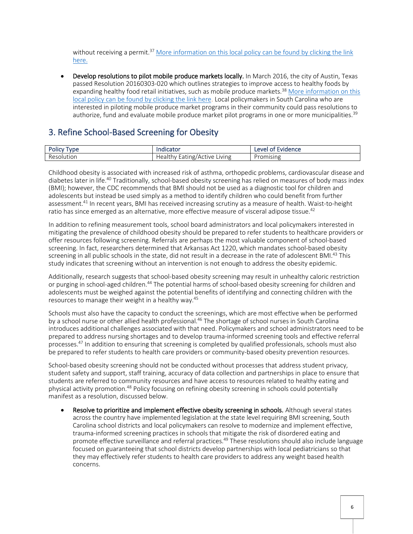without receiving a permit.<sup>37</sup> [More information on this local policy can](https://healthyfoodpolicyproject.org/policy/abingdon-va-code-%c2%a7-18-132-current-through-april-21-2016) be found by clicking the link [here.](https://healthyfoodpolicyproject.org/policy/abingdon-va-code-%c2%a7-18-132-current-through-april-21-2016)

• Develop resolutions to pilot mobile produce markets locally. In March 2016, the city of Austin, Texas passed Resolution 20160303-020 which outlines strategies to improve access to healthy foods by expanding healthy food retail initiatives, such as mobile produce markets.<sup>38</sup> More information on this local policy can [be found by clicking the link here.](https://www.austintexas.gov/sites/default/files/files/Sustainability/07-27-16_Memo_to_MC_re-_Response_to_Food_Access_Resolution_20160303-020_....pdf) Local policymakers in South Carolina who are interested in piloting mobile produce market programs in their community could pass resolutions to authorize, fund and evaluate mobile produce market pilot programs in one or more municipalities.<sup>39</sup>

### <span id="page-5-0"></span>3. Refine School-Based Screening for Obesity

| Polic<br><b>vne</b>                    | ndicator                                                                                      | eve<br>Ωt<br>:vidence<br>. |
|----------------------------------------|-----------------------------------------------------------------------------------------------|----------------------------|
| $\overline{\phantom{0}}$<br>Resolution | <b>IVING</b><br>- -<br><b>CTIVA</b><br>$\sim$ $\sim$<br>Health.<br><b>HILL</b> IB/ACG<br>:dll | omising                    |

Childhood obesity is associated with increased risk of asthma, orthopedic problems, cardiovascular disease and diabetes later in life.<sup>40</sup> Traditionally, school-based obesity screening has relied on measures of body mass index (BMI); however, the CDC recommends that BMI should not be used as a diagnostic tool for children and adolescents but instead be used simply as a method to identify children who could benefit from further assessment.<sup>41</sup> In recent years, BMI has received increasing scrutiny as a measure of health. Waist-to-height ratio has since emerged as an alternative, more effective measure of visceral adipose tissue.<sup>42</sup>

In addition to refining measurement tools, school board administrators and local policymakers interested in mitigating the prevalence of childhood obesity should be prepared to refer students to healthcare providers or offer resources following screening. Referrals are perhaps the most valuable component of school-based screening. In fact, researchers determined that Arkansas Act 1220, which mandates school-based obesity screening in all public schools in the state, did not result in a decrease in the rate of adolescent BMI.<sup>43</sup> This study indicates that screening without an intervention is not enough to address the obesity epidemic.

Additionally, research suggests that school-based obesity screening may result in unhealthy caloric restriction or purging in school-aged children.<sup>44</sup> The potential harms of school-based obesity screening for children and adolescents must be weighed against the potential benefits of identifying and connecting children with the resources to manage their weight in a healthy way.<sup>45</sup>

Schools must also have the capacity to conduct the screenings, which are most effective when be performed by a school nurse or other allied health professional.<sup>46</sup> The shortage of school nurses in South Carolina introduces additional challenges associated with that need. Policymakers and school administrators need to be prepared to address nursing shortages and to develop trauma-informed screening tools and effective referral processes.<sup>47</sup> In addition to ensuring that screening is completed by qualified professionals, schools must also be prepared to refer students to health care providers or community-based obesity prevention resources.

School-based obesity screening should not be conducted without processes that address student privacy, student safety and support, staff training, accuracy of data collection and partnerships in place to ensure that students are referred to community resources and have access to resources related to healthy eating and physical activity promotion.<sup>48</sup> Policy focusing on refining obesity screening in schools could potentially manifest as a resolution, discussed below.

Resolve to prioritize and implement effective obesity screening in schools. Although several states across the country have implemented legislation at the state level requiring BMI screening, South Carolina school districts and local policymakers can resolve to modernize and implement effective, trauma-informed screening practices in schools that mitigate the risk of disordered eating and promote effective surveillance and referral practices.<sup>49</sup> These resolutions should also include language focused on guaranteeing that school districts develop partnerships with local pediatricians so that they may effectively refer students to health care providers to address any weight based health concerns.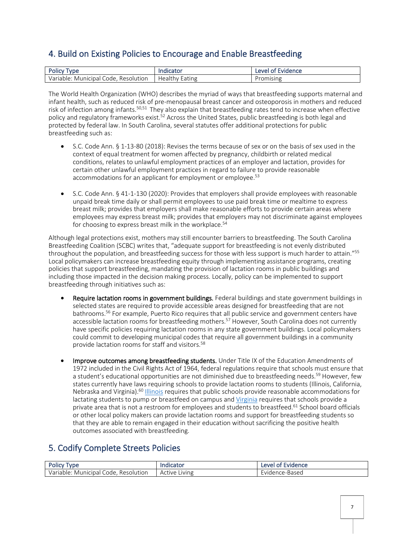### <span id="page-6-0"></span>4. Build on Existing Policies to Encourage and Enable Breastfeeding

| Polic,<br><b>VDE</b>                         | ndicator                                       | :vidence<br>∟eve⊧ |
|----------------------------------------------|------------------------------------------------|-------------------|
| Variable<br>Municipal<br>Resolution<br>Code. | $\overline{\phantom{a}}$<br>. Health<br>Eating | omising           |

The World Health Organization (WHO) describes the myriad of ways that breastfeeding supports maternal and infant health, such as reduced risk of pre-menopausal breast cancer and osteoporosis in mothers and reduced risk of infection among infants.<sup>50,51</sup> They also explain that breastfeeding rates tend to increase when effective policy and regulatory frameworks exist.<sup>52</sup> Across the United States, public breastfeeding is both legal and protected by federal law. In South Carolina, several statutes offer additional protections for public breastfeeding such as:

- S.C. Code Ann. § 1-13-80 (2018): Revises the terms because of sex or on the basis of sex used in the context of equal treatment for women affected by pregnancy, childbirth or related medical conditions, relates to unlawful employment practices of an employer and lactation, provides for certain other unlawful employment practices in regard to failure to provide reasonable accommodations for an applicant for employment or employee.<sup>53</sup>
- S.C. Code Ann. § 41-1-130 (2020): Provides that employers shall provide employees with reasonable unpaid break time daily or shall permit employees to use paid break time or mealtime to express breast milk; provides that employers shall make reasonable efforts to provide certain areas where employees may express breast milk; provides that employers may not discriminate against employees for choosing to express breast milk in the workplace.<sup>54</sup>

Although legal protections exist, mothers may still encounter barriers to breastfeeding. The South Carolina Breastfeeding Coalition (SCBC) writes that, "adequate support for breastfeeding is not evenly distributed throughout the population, and breastfeeding success for those with less support is much harder to attain."<sup>55</sup> Local policymakers can increase breastfeeding equity through implementing assistance programs, creating policies that support breastfeeding, mandating the provision of lactation rooms in public buildings and including those impacted in the decision making process. Locally, policy can be implemented to support breastfeeding through initiatives such as:

- Require lactation rooms in government buildings. Federal buildings and state government buildings in selected states are required to provide accessible areas designed for breastfeeding that are not bathrooms.<sup>56</sup> For example, Puerto Rico requires that all public service and government centers have accessible lactation rooms for breastfeeding mothers.<sup>57</sup> However, South Carolina does not currently have specific policies requiring lactation rooms in any state government buildings. Local policymakers could commit to developing municipal codes that require all government buildings in a community provide lactation rooms for staff and visitors.<sup>58</sup>
- Improve outcomes among breastfeeding students. Under Title IX of the Education Amendments of 1972 included in the Civil Rights Act of 1964, federal regulations require that schools must ensure that a student's educational opportunities are not diminished due to breastfeeding needs.<sup>59</sup> However, few states currently have laws requiring schools to provide lactation rooms to students (Illinois, California, Nebraska and Virginia).<sup>60</sup> [Illinois](https://www.ilga.gov/legislation/ilcs/fulltext.asp?DocName=010500050K27A-5) requires that public schools provide reasonable accommodations for lactating students to pump or breastfeed on campus and [Virginia](https://law.lis.virginia.gov/vacode/title22.1/chapter7/section22.1-79.6/) requires that schools provide a private area that is not a restroom for employees and students to breastfeed.<sup>61</sup> School board officials or other local policy makers can provide lactation rooms and support for breastfeeding students so that they are able to remain engaged in their education without sacrificing the positive health outcomes associated with breastfeeding.

### <span id="page-6-1"></span>5. Codify Complete Streets Policies

| Polic<br>vpe                                             | Indicator     | Evidence<br>evel<br>1 nt |
|----------------------------------------------------------|---------------|--------------------------|
| variable <sup>.</sup><br>Municipal<br>Resolution<br>Code | Active Living | vidence-Based:           |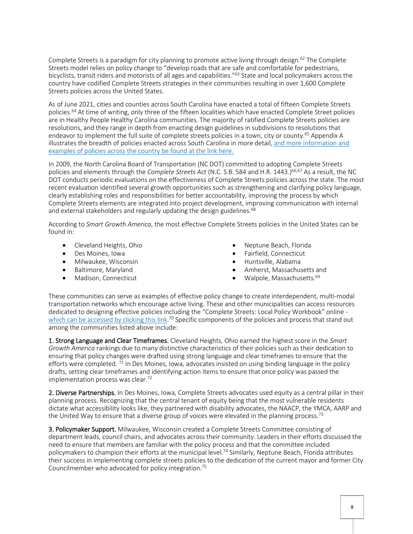Complete Streets is a paradigm for city planning to promote active living through design.<sup>62</sup> The Complete Streets model relies on policy change to "develop roads that are safe and comfortable for pedestrians, bicyclists, transit riders and motorists of all ages and capabilities."<sup>63</sup> State and local policymakers across the country have codified Complete Streets strategies in their communities resulting in over 1,600 Complete Streets policies across the United States.

As of June 2021, cities and counties across South Carolina have enacted a total of fifteen Complete Streets policies.<sup>64</sup> At time of writing, only three of the fifteen localities which have enacted Complete Street policies are in Healthy People Healthy Carolina communities. The majority of ratified Complete Streets policies are resolutions, and they range in depth from enacting design guidelines in subdivisions to resolutions that endeavor to implement the full suite of complete streets policies in a town, city or county.<sup>65</sup> Appendix A illustrates the breadth of policies enacted across South Carolina in more detail, [and more information and](https://smartgrowthamerica.org/program/national-complete-streets-coalition/publications/policy-development/policy-atlas/)  [examples of policies across the country be found at the link here.](https://smartgrowthamerica.org/program/national-complete-streets-coalition/publications/policy-development/policy-atlas/) 

In 2009, the North Carolina Board of Transportation (NC DOT) committed to adopting Complete Streets policies and elements through the *Complete Streets Act* (N.C. S.B. 584 and H.R. 1443.)<sup>66,67</sup> As a result, the NC DOT conducts periodic evaluations on the effectiveness of Complete Streets policies across the state. The most recent evaluation identified several growth opportunities such as strengthening and clarifying policy language, clearly establishing roles and responsibilities for better accountability, improving the process by which Complete Streets elements are integrated into project development, improving communication with internal and external stakeholders and regularly updating the design guidelines.<sup>68</sup>

According to *Smart Growth America*, the most effective Complete Streets policies in the United States can be found in:

- Cleveland Heights, Ohio
- Des Moines, Iowa
- Milwaukee, Wisconsin
- Baltimore, Maryland
- Madison, Connecticut
- Neptune Beach, Florida
- Fairfield, Connecticut
- Huntsville, Alabama
- Amherst, Massachusetts and
- Walpole, Massachusetts.<sup>69</sup>

These communities can serve as examples of effective policy change to create interdependent, multi-modal transportation networks which encourage active living. These and other municipalities can access resources dedicated to designing effective policies including the "Complete Streets: Local Policy Workbook" online [which can be accessed by clicking this link.](https://smartgrowthamerica.org/wp-content/uploads/2016/08/cs-policyworkbook.pdf.)<sup>70</sup> Specific components of the policies and process that stand out among the communities listed above include:

1. Strong Language and Clear Timeframes. Cleveland Heights, Ohio earned the highest score in the *Smart Growth America* rankings due to many distinctive characteristics of their policies such as their dedication to ensuring that policy changes were drafted using strong language and clear timeframes to ensure that the efforts were completed.  $\frac{71}{1}$  In Des Moines, Iowa, advocates insisted on using binding language in the policy drafts, setting clear timeframes and identifying action items to ensure that once policy was passed the implementation process was clear.<sup>72</sup>

2. Diverse Partnerships. In Des Moines, Iowa, Complete Streets advocates used equity as a central pillar in their planning process. Recognizing that the central tenant of equity being that the most vulnerable residents dictate what accessibility looks like, they partnered with disability advocates, the NAACP, the YMCA, AARP and the United Way to ensure that a diverse group of voices were elevated in the planning process.<sup>73</sup>

3. Policymaker Support. Milwaukee, Wisconsin created a Complete Streets Committee consisting of department leads, council chairs, and advocates across their community. Leaders in their efforts discussed the need to ensure that members are familiar with the policy process and that the committee included policymakers to champion their efforts at the municipal level.<sup>74</sup> Similarly, Neptune Beach, Florida attributes their success in implementing complete streets policies to the dedication of the current mayor and former City Councilmember who advocated for policy integration.75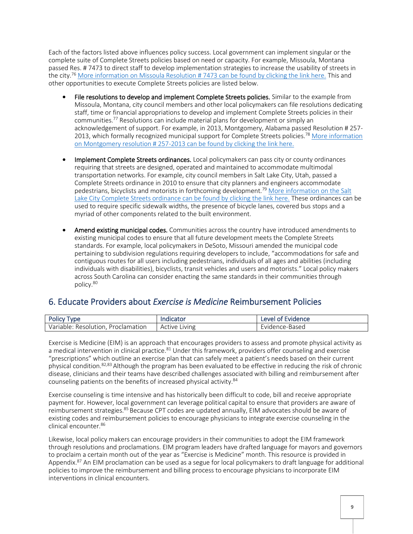Each of the factors listed above influences policy success. Local government can implement singular or the complete suite of Complete Streets policies based on need or capacity. For example, Missoula, Montana passed Res. # 7473 to direct staff to develop implementation strategies to increase the usability of streets in the city.<sup>76</sup> [More information on Missoula Resolution # 7473 can be found by clicking the link here.](http://www.ci.missoula.mt.us/DocumentCenter/View/2154/Resolution-7473?bidId=) This and other opportunities to execute Complete Streets policies are listed below.

- File resolutions to develop and implement Complete Streets policies. Similar to the example from Missoula, Montana, city council members and other local policymakers can file resolutions dedicating staff, time or financial appropriations to develop and implement Complete Streets policies in their communities.<sup>77</sup> Resolutions can include material plans for development or simply an acknowledgement of support. For example, in 2013, Montgomery, Alabama passed Resolution # 257- 2013, which formally recognized municipal support for Complete Streets policies.<sup>78</sup> More information [on Montgomery resolution # 257-2013 can be found by clicking the link here.](https://www.montgomeryal.gov/home/showdocument?id=5089)
- Implement Complete Streets ordinances. Local policymakers can pass city or county ordinances requiring that streets are designed, operated and maintained to accommodate multimodal transportation networks. For example, city council members in Salt Lake City, Utah, passed a Complete Streets ordinance in 2010 to ensure that city planners and engineers accommodate pedestrians, bicyclists and motorists in forthcoming development.<sup>79</sup> More information on the Salt [Lake City Complete Streets ordinance can be found by clicking the link here.](https://www.slc.gov/transportation/wp-content/uploads/sites/11/2019/08/Complete-Streets-Ordinance.pdf) These ordinances can be used to require specific sidewalk widths, the presence of bicycle lanes, covered bus stops and a myriad of other components related to the built environment.
- Amend existing municipal codes. Communities across the country have introduced amendments to existing municipal codes to ensure that all future development meets the Complete Streets standards. For example, local policymakers in DeSoto, Missouri amended the municipal code pertaining to subdivision regulations requiring developers to include, "accommodations for safe and contiguous routes for all users including pedestrians, individuals of all ages and abilities (including individuals with disabilities), bicyclists, transit vehicles and users and motorists." Local policy makers across South Carolina can consider enacting the same standards in their communities through policy.<sup>80</sup>

### <span id="page-8-0"></span>6. Educate Providers about *Exercise is Medicine* Reimbursement Policies

| <b>Policy Type</b>                 |               | Level of Evidence |
|------------------------------------|---------------|-------------------|
| Variable: Resolution, Proclamation | Active Living | Evidence-Based    |

Exercise is Medicine (EIM) is an approach that encourages providers to assess and promote physical activity as a medical intervention in clinical practice.<sup>81</sup> Under this framework, providers offer counseling and exercise "prescriptions" which outline an exercise plan that can safely meet a patient's needs based on their current physical condition.82,83 Although the program has been evaluated to be effective in reducing the risk of chronic disease, clinicians and their teams have described challenges associated with billing and reimbursement after counseling patients on the benefits of increased physical activity.<sup>84</sup>

Exercise counseling is time intensive and has historically been difficult to code, bill and receive appropriate payment for. However, local government can leverage political capital to ensure that providers are aware of reimbursement strategies.<sup>85</sup> Because CPT codes are updated annually, EIM advocates should be aware of existing codes and reimbursement policies to encourage physicians to integrate exercise counseling in the clinical encounter.<sup>86</sup>

Likewise, local policy makers can encourage providers in their communities to adopt the EIM framework through resolutions and proclamations. EIM program leaders have drafted language for mayors and governors to proclaim a certain month out of the year as "Exercise is Medicine" month. This resource is provided in Appendix.<sup>87</sup> An EIM proclamation can be used as a segue for local policymakers to draft language for additional policies to improve the reimbursement and billing process to encourage physicians to incorporate EIM interventions in clinical encounters.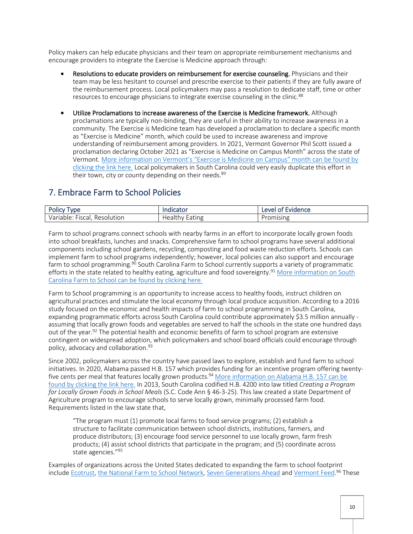Policy makers can help educate physicians and their team on appropriate reimbursement mechanisms and encourage providers to integrate the Exercise is Medicine approach through:

- Resolutions to educate providers on reimbursement for exercise counseling. Physicians and their team may be less hesitant to counsel and prescribe exercise to their patients if they are fully aware of the reimbursement process. Local policymakers may pass a resolution to dedicate staff, time or other resources to encourage physicians to integrate exercise counseling in the clinic.<sup>88</sup>
- Utilize Proclamations to increase awareness of the Exercise is Medicine framework. Although proclamations are typically non-binding, they are useful in their ability to increase awareness in a community. The Exercise is Medicine team has developed a proclamation to declare a specific month as "Exercise is Medicine" month, which could be used to increase awareness and improve understanding of reimbursement among providers. In 2021, Vermont Governor Phil Scott issued a proclamation declaring October 2021 as "Exercise is Medicine on Campus Month" across the state of Vermont. [More information on Vermont's "Exercise is Medicine on Campus" month can be found by](https://governor.vermont.gov/content/exercise-medicine-campus-month-proclamation-21-120)  [clicking the link here.](https://governor.vermont.gov/content/exercise-medicine-campus-month-proclamation-21-120) Local policymakers in South Carolina could very easily duplicate this effort in their town, city or county depending on their needs.<sup>89</sup>

### <span id="page-9-0"></span>7. Embrace Farm to School Policies

| Polic<br><b>VDE</b>                                                  | ----<br>molication              | Evidence<br>AVAI<br>ΩŤ |
|----------------------------------------------------------------------|---------------------------------|------------------------|
| $-$<br>Variable: '<br><b>Fiscai</b><br>Resolution<br><b>u</b><br>. . | Lating<br>Heal.<br>$\mathbf{N}$ | romising<br>וש         |

Farm to school programs connect schools with nearby farms in an effort to incorporate locally grown foods into school breakfasts, lunches and snacks. Comprehensive farm to school programs have several additional components including school gardens, recycling, composting and food waste reduction efforts. Schools can implement farm to school programs independently; however, local policies can also support and encourage farm to school programming.<sup>90</sup> South Carolina Farm to School currently supports a variety of programmatic efforts in the state related to healthy eating, agriculture and food sovereignty.<sup>91</sup> More information on South [Carolina Farm to School can](https://scfarmtoschool.com/) be found by clicking here.

Farm to School programming is an opportunity to increase access to healthy foods, instruct children on agricultural practices and stimulate the local economy through local produce acquisition. According to a 2016 study focused on the economic and health impacts of farm to school programming in South Carolina, expanding programmatic efforts across South Carolina could contribute approximately \$3.5 million annually assuming that locally grown foods and vegetables are served to half the schools in the state one hundred days out of the year.<sup>92</sup> The potential health and economic benefits of farm to school program are extensive contingent on widespread adoption, which policymakers and school board officials could encourage through policy, advocacy and collaboration.<sup>93</sup>

Since 2002, policymakers across the country have passed laws to explore, establish and fund farm to school initiatives. In 2020, Alabama passed H.B. 157 which provides funding for an incentive program offering twentyfive cents per meal that features locally grown products.<sup>94</sup> More information on Alabama H.B. 157 can be [found by clicking the link here.](https://uploads-ssl.webflow.com/5c469df2395cd53c3d913b2d/611055ea25a740645f082f18_State%20Farm%20to%20School%20Policy%20Handbook.pdf) In 2013, South Carolina codified H.B. 4200 into law titled *Creating a Program for Locally Grown Foods in School Meals* (S.C. Code Ann § 46-3-25). This law created a state Department of Agriculture program to encourage schools to serve locally grown, minimally processed farm food. Requirements listed in the law state that,

"The program must (1) promote local farms to food service programs; (2) establish a structure to facilitate communication between school districts, institutions, farmers, and produce distributors; (3) encourage food service personnel to use locally grown, farm fresh products; (4) assist school districts that participate in the program; and (5) coordinate across state agencies."<sup>95</sup>

Examples of organizations across the United States dedicated to expanding the farm to school footprint include [Ecotrust,](https://ecotrust.org/project/farm-to-school/) [the National Farm to School Network,](https://www.farmtoschool.org/) [Seven Generations Ahead](https://sevengenerationsahead.org/farm-to-school/#:~:text=Seven%20Generations%20Ahead%20developed%20Fresh,for%20elementary%20and%20middle%20schools.) and [Vermont Feed.](https://vtfeed.org/)<sup>96</sup> These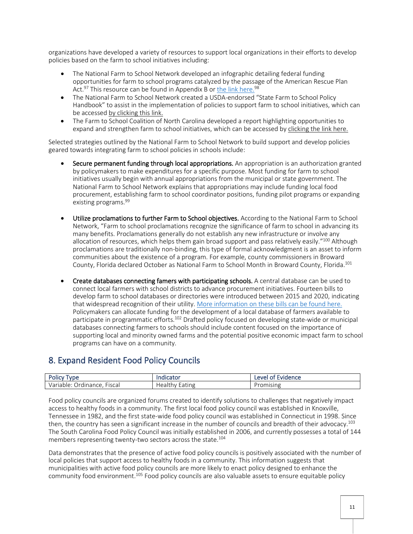organizations have developed a variety of resources to support local organizations in their efforts to develop policies based on the farm to school initiatives including:

- The National Farm to School Network developed an infographic detailing federal funding opportunities for farm to school programs catalyzed by the passage of the American Rescue Plan Act.<sup>97</sup> This resource can be found in Appendix B or [the link here.](https://www.farmtoschool.org/resources-main/emerging-federal-opportunities-for-farm-to-ece)<sup>98</sup>
- The National Farm to School Network created a USDA-endorsed "State Farm to School Policy Handbook" to assist in the implementation of policies to support farm to school initiatives, which can be accessed [by clicking this link.](https://uploads-ssl.webflow.com/5c469df2395cd53c3d913b2d/611055ea25a740645f082f18_State%20Farm%20to%20School%20Policy%20Handbook.pdf)
- The Farm to School Coalition of North Carolina developed a report highlighting opportunities to expand and strengthen farm to school initiatives, which can be accessed by [clicking the link here.](https://www.farmtoschoolcoalitionnc.org/images/uploads/page_files/FarmtoSchool_FINAL.pdf)

Selected strategies outlined by the National Farm to School Network to build support and develop policies geared towards integrating farm to school policies in schools include:

- Secure permanent funding through local appropriations. An appropriation is an authorization granted by policymakers to make expenditures for a specific purpose. Most funding for farm to school initiatives usually begin with annual appropriations from the municipal or state government. The National Farm to School Network explains that appropriations may include funding local food procurement, establishing farm to school coordinator positions, funding pilot programs or expanding existing programs.<sup>99</sup>
- Utilize proclamations to further Farm to School objectives. According to the National Farm to School Network, "Farm to school proclamations recognize the significance of farm to school in advancing its many benefits. Proclamations generally do not establish any new infrastructure or involve any allocation of resources, which helps them gain broad support and pass relatively easily."<sup>100</sup> Although proclamations are traditionally non-binding, this type of formal acknowledgment is an asset to inform communities about the existence of a program. For example, county commissioners in Broward County, Florida declared October as National Farm to School Month in Broward County, Florida.<sup>101</sup>
- Create databases connecting famers with participating schools. A central database can be used to connect local farmers with school districts to advance procurement initiatives. Fourteen bills to develop farm to school databases or directories were introduced between 2015 and 2020, indicating that widespread recognition of their utility. [More information on these bills can](https://assets.website-files.com/5c469df2395cd53c3d913b2d/611055ea25a740645f082f18_State%20Farm%20to%20School%20Policy%20Handbook.pdf) be found here. Policymakers can allocate funding for the development of a local database of farmers available to participate in programmatic efforts.<sup>102</sup> Drafted policy focused on developing state-wide or municipal databases connecting farmers to schools should include content focused on the importance of supporting local and minority owned farms and the potential positive economic impact farm to school programs can have on a community.

### <span id="page-10-0"></span>8. Expand Resident Food Policy Councils

| <b>Polic</b><br>yne                                     | ndicator              | :vidence<br><b>AVA</b><br>-<br>m<br>-- |
|---------------------------------------------------------|-----------------------|----------------------------------------|
| $ -$<br>Variah<br>Fiscal<br>Ordinance.<br>riable<br>v d | ıne<br>Healu<br>Latil | omising                                |

Food policy councils are organized forums created to identify solutions to challenges that negatively impact access to healthy foods in a community. The first local food policy council was established in Knoxville, Tennessee in 1982, and the first state-wide food policy council was established in Connecticut in 1998. Since then, the country has seen a significant increase in the number of councils and breadth of their advocacy.<sup>103</sup> The South Carolina Food Policy Council was initially established in 2006, and currently possesses a total of 144 members representing twenty-two sectors across the state.<sup>104</sup>

Data demonstrates that the presence of active food policy councils is positively associated with the number of local policies that support access to healthy foods in a community. This information suggests that municipalities with active food policy councils are more likely to enact policy designed to enhance the community food environment.105 Food policy councils are also valuable assets to ensure equitable policy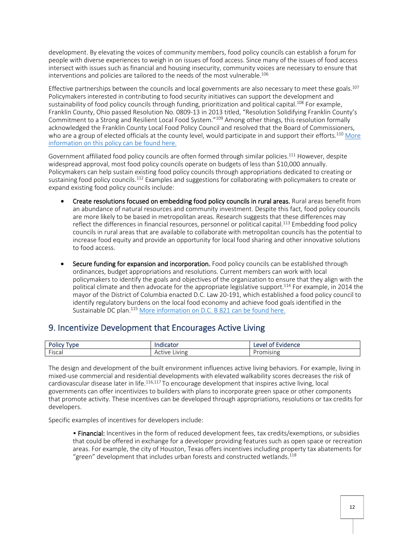development. By elevating the voices of community members, food policy councils can establish a forum for people with diverse experiences to weigh in on issues of food access. Since many of the issues of food access intersect with issues such as financial and housing insecurity, community voices are necessary to ensure that interventions and policies are tailored to the needs of the most vulnerable.<sup>106</sup>

Effective partnerships between the councils and local governments are also necessary to meet these goals.<sup>107</sup> Policymakers interested in contributing to food security initiatives can support the development and sustainability of food policy councils through funding, prioritization and political capital.<sup>108</sup> For example, Franklin County, Ohio passed Resolution No. 0809-13 in 2013 titled, "Resolution Solidifying Franklin County's Commitment to a Strong and Resilient Local Food System."<sup>109</sup> Among other things, this resolution formally acknowledged the Franklin County Local Food Policy Council and resolved that the Board of Commissioners, who are a group of elected officials at the county level, would participate in and support their efforts.<sup>110</sup> More [information on this policy can](https://crms.franklincountyohio.gov/RMSWeb/pdfs/Resolutions/r_000006534/resolution-published.pdf) be found here.

Government affiliated food policy councils are often formed through similar policies.<sup>111</sup> However, despite widespread approval, most food policy councils operate on budgets of less than \$10,000 annually. Policymakers can help sustain existing food policy councils through appropriations dedicated to creating or sustaining food policy councils.<sup>112</sup> Examples and suggestions for collaborating with policymakers to create or expand existing food policy councils include:

- Create resolutions focused on embedding food policy councils in rural areas. Rural areas benefit from an abundance of natural resources and community investment. Despite this fact, food policy councils are more likely to be based in metropolitan areas. Research suggests that these differences may reflect the differences in financial resources, personnel or political capital.<sup>113</sup> Embedding food policy councils in rural areas that are available to collaborate with metropolitan councils has the potential to increase food equity and provide an opportunity for local food sharing and other innovative solutions to food access.
- Secure funding for expansion and incorporation. Food policy councils can be established through ordinances, budget appropriations and resolutions. Current members can work with local policymakers to identify the goals and objectives of the organization to ensure that they align with the political climate and then advocate for the appropriate legislative support.<sup>114</sup> For example, in 2014 the mayor of the District of Columbia enacted D.C. Law 20-191, which established a food policy council to identify regulatory burdens on the local food economy and achieve food goals identified in the Sustainable DC plan.<sup>115</sup> [More information on D.C. B 821](https://code.dccouncil.us/us/dc/council/laws/20-191) can be found here.

### <span id="page-11-0"></span>9. Incentivize Development that Encourages Active Living

| <b>START A</b><br>UIIC<br>v | aldicator.        | Leve<br><b>vidence</b><br>. <b>. .</b> . |
|-----------------------------|-------------------|------------------------------------------|
| $-1$                        | IVIN <sub>e</sub> |                                          |
| -iscai                      | Active            | <b>OHISHI</b>                            |

The design and development of the built environment influences active living behaviors. For example, living in mixed-use commercial and residential developments with elevated walkability scores decreases the risk of cardiovascular disease later in life.<sup>116,117</sup> To encourage development that inspires active living, local governments can offer incentivizes to builders with plans to incorporate green space or other components that promote activity. These incentives can be developed through appropriations, resolutions or tax credits for developers.

Specific examples of incentives for developers include:

• Financial: Incentives in the form of reduced development fees, tax credits/exemptions, or subsidies that could be offered in exchange for a developer providing features such as open space or recreation areas. For example, the city of Houston, Texas offers incentives including property tax abatements for "green" development that includes urban forests and constructed wetlands.<sup>118</sup>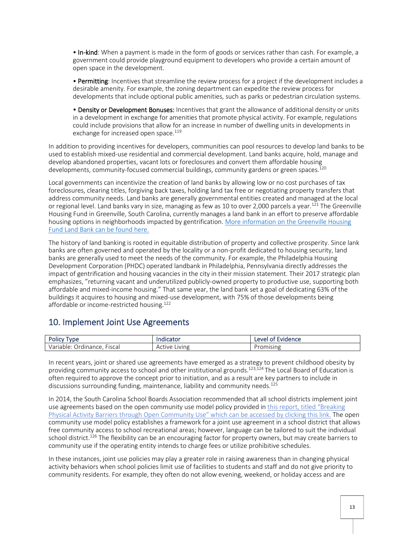• In-kind: When a payment is made in the form of goods or services rather than cash. For example, a government could provide playground equipment to developers who provide a certain amount of open space in the development.

• Permitting: Incentives that streamline the review process for a project if the development includes a desirable amenity. For example, the zoning department can expedite the review process for developments that include optional public amenities, such as parks or pedestrian circulation systems.

• Density or Development Bonuses: Incentives that grant the allowance of additional density or units in a development in exchange for amenities that promote physical activity. For example, regulations could include provisions that allow for an increase in number of dwelling units in developments in exchange for increased open space.<sup>119</sup>

In addition to providing incentives for developers, communities can pool resources to develop land banks to be used to establish mixed-use residential and commercial development. Land banks acquire, hold, manage and develop abandoned properties, vacant lots or foreclosures and convert them affordable housing developments, community-focused commercial buildings, community gardens or green spaces.<sup>120</sup>

Local governments can incentivize the creation of land banks by allowing low or no cost purchases of tax foreclosures, clearing titles, forgiving back taxes, holding land tax free or negotiating property transfers that address community needs. Land banks are generally governmental entities created and managed at the local or regional level. Land banks vary in size, managing as few as 10 to over 2,000 parcels a year.<sup>121</sup> The Greenville Housing Fund in Greenville, South Carolina, currently manages a land bank in an effort to preserve affordable housing options in neighborhoods impacted by gentrification. [More information on the Greenville Housing](https://greenvillehousingfund.com/)  [Fund Land Bank can be found here.](https://greenvillehousingfund.com/) 

The history of land banking is rooted in equitable distribution of property and collective prosperity. Since lank banks are often governed and operated by the locality or a non-profit dedicated to housing security, land banks are generally used to meet the needs of the community. For example, the Philadelphia Housing Development Corporation (PHDC) operated landbank in Philadelphia, Pennsylvania directly addresses the impact of gentrification and housing vacancies in the city in their mission statement. Their 2017 strategic plan emphasizes, "returning vacant and underutilized publicly-owned property to productive use, supporting both affordable and mixed-income housing." That same year, the land bank set a goal of dedicating 63% of the buildings it acquires to housing and mixed-use development, with 75% of those developments being affordable or income-restricted housing.<sup>122</sup>

### <span id="page-12-0"></span>10. Implement Joint Use Agreements

| Polic,<br><b>vne</b>                                          | maile<br>.cator | eve<br>Evidence<br>ി |
|---------------------------------------------------------------|-----------------|----------------------|
| $ -$<br>Fiscal<br>var <sub>'</sub><br>Ordinance.'<br>uabler . | Iving<br>Active | 'romising            |

In recent years, joint or shared use agreements have emerged as a strategy to prevent childhood obesity by providing community access to school and other institutional grounds.<sup>123,124</sup> The Local Board of Education is often required to approve the concept prior to initiation, and as a result are key partners to include in discussions surrounding funding, maintenance, liability and community needs.<sup>125</sup>

In 2014, the South Carolina School Boards Association recommended that all school districts implement joint use agreements based on the open community use model policy provided in [this report, titled](https://scdhec.gov/sites/default/files/Library/CR-011555.pdf) "Breaking [Physical Activity Barriers through Open Community](https://scdhec.gov/sites/default/files/Library/CR-011555.pdf) Use" which can be accessed by clicking this link. The open community use model policy establishes a framework for a joint use agreement in a school district that allows free community access to school recreational areas; however, language can be tailored to suit the individual school district.<sup>126</sup> The flexibility can be an encouraging factor for property owners, but may create barriers to community use if the operating entity intends to charge fees or utilize prohibitive schedules.

In these instances, joint use policies may play a greater role in raising awareness than in changing physical activity behaviors when school policies limit use of facilities to students and staff and do not give priority to community residents. For example, they often do not allow evening, weekend, or holiday access and are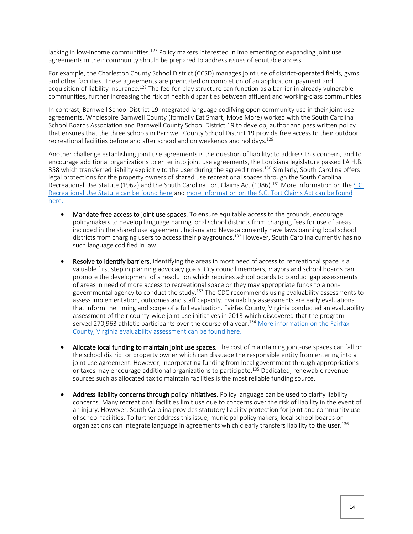lacking in low-income communities.<sup>127</sup> Policy makers interested in implementing or expanding joint use agreements in their community should be prepared to address issues of equitable access.

For example, the Charleston County School District (CCSD) manages joint use of district-operated fields, gyms and other facilities. These agreements are predicated on completion of an application, payment and acquisition of liability insurance.<sup>128</sup> The fee-for-play structure can function as a barrier in already vulnerable communities, further increasing the risk of health disparities between affluent and working-class communities.

In contrast, Barnwell School District 19 integrated language codifying open community use in their joint use agreements. Wholespire Barnwell County (formally Eat Smart, Move More) worked with the South Carolina School Boards Association and Barnwell County School District 19 to develop, author and pass written policy that ensures that the three schools in Barnwell County School District 19 provide free access to their outdoor recreational facilities before and after school and on weekends and holidays.<sup>129</sup>

Another challenge establishing joint use agreements is the question of liability; to address this concern, and to encourage additional organizations to enter into joint use agreements, the Louisiana legislature passed LA H.B. 358 which transferred liability explicitly to the user during the agreed times.<sup>130</sup> Similarly, South Carolina offers legal protections for the property owners of shared use recreational spaces through the South Carolina Recreational Use Statute (1962) and the South Carolina Tort Claims Act (1986).<sup>131</sup> More information on the S.C. [Recreational Use Statute can](https://citeseerx.ist.psu.edu/viewdoc/download?doi=10.1.1.353.3463&rep=rep1&type=pdf#:~:text=The%20South%20Carolina%20Legislature%20enacted,the%20public%20on%20their%20property.) be found here and [more information on the S.C. Tort Claims Act can](https://www.scstatehouse.gov/code/t15c078.php) be found [here.](https://www.scstatehouse.gov/code/t15c078.php)

- Mandate free access to joint use spaces. To ensure equitable access to the grounds, encourage policymakers to develop language barring local school districts from charging fees for use of areas included in the shared use agreement. Indiana and Nevada currently have laws banning local school districts from charging users to access their playgrounds.<sup>132</sup> However, South Carolina currently has no such language codified in law.
- Resolve to identify barriers. Identifying the areas in most need of access to recreational space is a valuable first step in planning advocacy goals. City council members, mayors and school boards can promote the development of a resolution which requires school boards to conduct gap assessments of areas in need of more access to recreational space or they may appropriate funds to a nongovernmental agency to conduct the study.<sup>133</sup> The CDC recommends using evaluability assessments to assess implementation, outcomes and staff capacity. Evaluability assessments are early evaluations that inform the timing and scope of a full evaluation. Fairfax County, Virginia conducted an evaluability assessment of their county-wide joint use initiatives in 2013 which discovered that the program served 270,963 athletic participants over the course of a year.<sup>134</sup> More information on the Fairfax [County, Virginia evaluability assessment can](https://childhoodobesity2015.com/docs/uploads/jua-virginia.pdf) be found here.
- Allocate local funding to maintain joint use spaces. The cost of maintaining joint-use spaces can fall on the school district or property owner which can dissuade the responsible entity from entering into a joint use agreement. However, incorporating funding from local government through appropriations or taxes may encourage additional organizations to participate.<sup>135</sup> Dedicated, renewable revenue sources such as allocated tax to maintain facilities is the most reliable funding source.
- Address liability concerns through policy initiatives. Policy language can be used to clarify liability concerns. Many recreational facilities limit use due to concerns over the risk of liability in the event of an injury. However, South Carolina provides statutory liability protection for joint and community use of school facilities. To further address this issue, municipal policymakers, local school boards or organizations can integrate language in agreements which clearly transfers liability to the user.<sup>136</sup>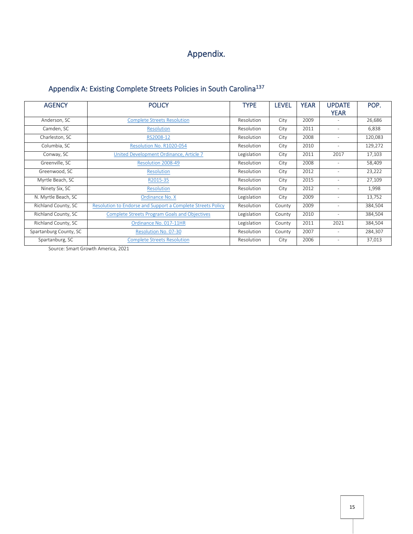## Appendix.

#### <span id="page-14-1"></span><span id="page-14-0"></span>Appendix A: Existing Complete Streets Policies in South Carolina<sup>137</sup>

| <b>AGENCY</b>          | <b>POLICY</b>                                               | <b>TYPE</b>       | <b>LEVEL</b> | <b>YEAR</b> | <b>UPDATE</b>            | POP.    |
|------------------------|-------------------------------------------------------------|-------------------|--------------|-------------|--------------------------|---------|
|                        |                                                             |                   |              |             | <b>YEAR</b>              |         |
| Anderson, SC           | <b>Complete Streets Resolution</b>                          | <b>Resolution</b> | City         | 2009        |                          | 26,686  |
| Camden, SC             | <b>Resolution</b>                                           | <b>Resolution</b> | City         | 2011        |                          | 6,838   |
| Charleston, SC         | RS2008-12                                                   | <b>Resolution</b> | City         | 2008        | $\overline{\phantom{a}}$ | 120,083 |
| Columbia, SC           | Resolution No. R1020-054                                    | <b>Resolution</b> | City         | 2010        | $\sim$                   | 129,272 |
| Conway, SC             | United Development Ordinance, Article 7                     | Legislation       | City         | 2011        | 2017                     | 17,103  |
| Greenville, SC         | Resolution 2008-49                                          | <b>Resolution</b> | City         | 2008        | $\sim$                   | 58,409  |
| Greenwood, SC          | <b>Resolution</b>                                           | <b>Resolution</b> | City         | 2012        | Ξ.                       | 23,222  |
| Myrtle Beach, SC       | R2015-35                                                    | <b>Resolution</b> | City         | 2015        |                          | 27,109  |
| Ninety Six, SC         | Resolution                                                  | <b>Resolution</b> | City         | 2012        | ٠                        | 1,998   |
| N. Myrtle Beach, SC    | Ordinance No. X                                             | Legislation       | City         | 2009        | ٠                        | 13,752  |
| Richland County, SC    | Resolution to Endorse and Support a Complete Streets Policy | <b>Resolution</b> | County       | 2009        |                          | 384,504 |
| Richland County, SC    | <b>Complete Streets Program Goals and Objectives</b>        | Legislation       | County       | 2010        | $\sim$                   | 384,504 |
| Richland County, SC    | Ordinance No. 017-11HR                                      | Legislation       | County       | 2011        | 2021                     | 384,504 |
| Spartanburg County, SC | Resolution No. 07-30                                        | Resolution        | County       | 2007        |                          | 284,307 |
| Spartanburg, SC        | <b>Complete Streets Resolution</b>                          | <b>Resolution</b> | City         | 2006        | -                        | 37,013  |

Source: Smart Growth America, 2021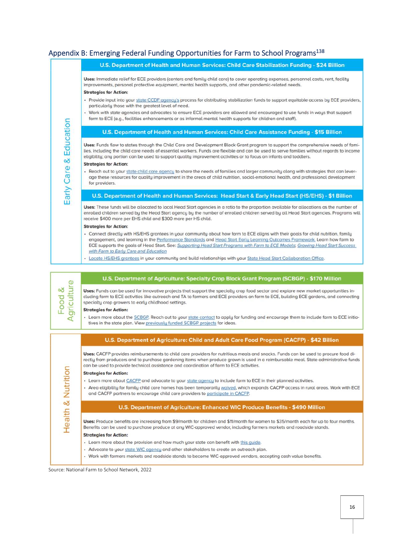#### <span id="page-15-0"></span>Appendix B: Emerging Federal Funding Opportunities for Farm to School Programs<sup>138</sup>



- Learn more about CACFP and advocate to your state agency to include farm to ECE in their planned activities.
- · Area eligibility for family child care homes has been temporarily waived, which expands CACFP access in rural areas. Work with ECE and CACFP partners to encourage child care providers to participate in CACFP.

#### U.S. Department of Agriculture: Enhanced WIC Produce Benefits - \$490 Million

Uses: Produce benefits are increasing from \$9/month for children and \$11/month for women to \$35/month each for up to four months. Benefits can be used to purchase produce at any WIC-approved vendor, including farmers markets and roadside stands.

#### **Strategies for Action:**

- Learn more about the provision and how much your state can benefit with this guide.
- Advocate to your state WIC agency and other stakeholders to create an outreach plan.
- Work with farmers markets and roadside stands to become WIC-approved vendors, accepting cash value benefits.

Source: National Farm to School Network, 2022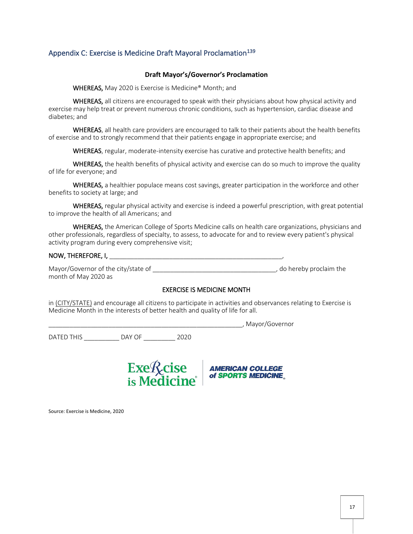#### <span id="page-16-0"></span>Appendix C: Exercise is Medicine Draft Mayoral Proclamation<sup>139</sup>

#### **Draft Mayor's/Governor's Proclamation**

WHEREAS, May 2020 is Exercise is Medicine® Month; and

WHEREAS, all citizens are encouraged to speak with their physicians about how physical activity and exercise may help treat or prevent numerous chronic conditions, such as hypertension, cardiac disease and diabetes; and

WHEREAS, all health care providers are encouraged to talk to their patients about the health benefits of exercise and to strongly recommend that their patients engage in appropriate exercise; and

WHEREAS, regular, moderate-intensity exercise has curative and protective health benefits; and

WHEREAS, the health benefits of physical activity and exercise can do so much to improve the quality of life for everyone; and

WHEREAS, a healthier populace means cost savings, greater participation in the workforce and other benefits to society at large; and

WHEREAS, regular physical activity and exercise is indeed a powerful prescription, with great potential to improve the health of all Americans; and

WHEREAS, the American College of Sports Medicine calls on health care organizations, physicians and other professionals, regardless of specialty, to assess, to advocate for and to review every patient's physical activity program during every comprehensive visit;

### NOW, THEREFORE, I, **We are all that**

Mayor/Governor of the city/state of  $\blacksquare$ month of May 2020 as

#### EXERCISE IS MEDICINE MONTH

in (CITY/STATE) and encourage all citizens to participate in activities and observances relating to Exercise is Medicine Month in the interests of better health and quality of life for all.

\_\_\_\_\_\_\_\_\_\_\_\_\_\_\_\_\_\_\_\_\_\_\_\_\_\_\_\_\_\_\_\_\_\_\_\_\_\_\_\_\_\_\_\_\_\_\_\_\_\_\_\_\_\_\_, Mayor/Governor DATED THIS \_\_\_\_\_\_\_\_\_\_ DAY OF \_\_\_\_\_\_\_\_\_ 2020



Source: Exercise is Medicine, 2020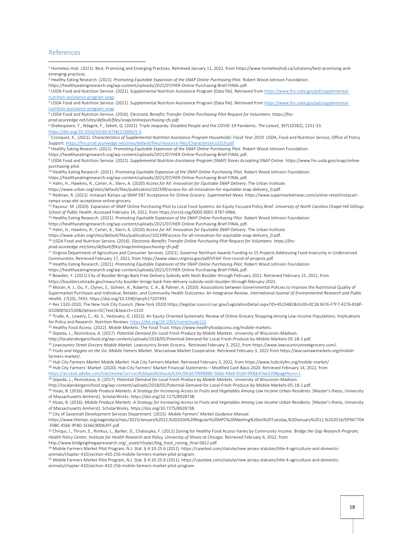#### <span id="page-17-0"></span>References

<sup>1</sup> Homeless Hub. (2021). Best, Promising and Emerging Practices. Retrieved January 11, 2022, from https://www.homelesshub.ca/solutions/best-promising-andemerging-practices.

<sup>2</sup> Healthy Eating Research. (2021). *Promoting Equitable Expansion of the SNAP Online Purchasing Pilot. Robert Wood Johnson Foundation.* 

https://healthyeatingresearch.org/wp-content/uploads/2021/07/HER-Online-Purchasing-Brief-FINAL.pdf.

<sup>3</sup> USDA Food and Nutrition Service. (2021). Supplemental Nutrition Assistance Program [Data file]. Retrieved fro[m https://www.fns.usda.gov/pd/supplemental](https://www.fns.usda.gov/pd/supplemental-nutrition-assistance-program-snap)[nutrition-assistance-program-snap.](https://www.fns.usda.gov/pd/supplemental-nutrition-assistance-program-snap) 

<sup>4</sup> USDA Food and Nutrition Service. (2021). Supplemental Nutrition Assistance Program [Data file]. Retrieved fro[m https://www.fns.usda.gov/pd/supplemental](https://www.fns.usda.gov/pd/supplemental-nutrition-assistance-program-snap)[nutrition-assistance-program-snap.](https://www.fns.usda.gov/pd/supplemental-nutrition-assistance-program-snap)

5 USDA Food and Nutrition Service. (2016). *Electronic Benefits Transfer Online Purchasing Pilot Request for Volunteers. https://fns-*

*prod.azureedge.net/sites/default/files/snap/onlinepurchasing-rfv.pdf.*

6 Shakespeare, T., Ndagire, F., Seketi, Q. (2021). Triple Jeopardy: Disabled People and the COVID-19 Pandemic*. The Lancet,* 397(10282), 1331-33.

[https://doi.org/10.1016/S0140-6736\(21\)00625-5.](https://doi.org/10.1016/S0140-6736(21)00625-5) 

7 Cronquist, K., (2021). *Characteristics of Supplemental Nutrition Assistance Program Households: Fiscal Year 2019.* USDA, Food and Nutrition Service, Office of Policy Support[. https://fns-prod.azureedge.net/sites/default/files/resource-files/Characteristics2019.pdf.](https://fns-prod.azureedge.net/sites/default/files/resource-files/Characteristics2019.pdf) 

<sup>8</sup> Healthy Eating Research. (2021). *Promoting Equitable Expansion of the SNAP Online Purchasing Pilot.* Robert Wood Johnson Foundation.

https://healthyeatingresearch.org/wp-content/uploads/2021/07/HER-Online-Purchasing-Brief-FINAL.pdf.

<sup>9</sup> USDA Food and Nutrition Service. (2022). *Supplemental Nutrition Assistance Program (SNAP) Stores Accepting SNAP Online. https://www.fns.usda.gov/snap/online*purchasing-pilot.

<sup>10</sup> Healthy Eating Research. (2021). *Promoting Equitable Expansion of the SNAP Online Purchasing Pilot.* Robert Wood Johnson Foundation.

https://healthyeatingresearch.org/wp-content/uploads/2021/07/HER-Online-Purchasing-Brief-FINAL.pdf.

<sup>11</sup> Hahn, H., Hawkins, R., Carter, A., Stern, A. (2020) *Access for All: Innovation for Equitable SNAP Delivery*. The Urban Institute.

https://www.urban.org/sites/default/files/publication/102399/access-for-all-innovation-for-equitable-snap-delivery\_0.pdf.

12 Redman, R. (2021). Instacart Ramps up SNAP EBT Acceptance for Online Grocery. *Supermarket News.* https://www.supermarketnews.com/online-retail/instacartramps-snap-ebt-acceptance-online-grocery.

<sup>13</sup> Paysour, M. (2020). Expansion of SNAP Online Purchasing Pilot to Local Food Systems: An Equity Focused Policy Brief. *University of North Carolina Chapel Hill Gillings School of Public Health.* Accessed February 14, 2022, from https://orcid.org/0000-0001-9787-0966.

<sup>14</sup> Healthy Eating Research. (2021). Promoting Equitable Expansion of the SNAP Online Purchasing Pilot. Robert Wood Johnson Foundation.

https://healthyeatingresearch.org/wp-content/uploads/2021/07/HER-Online-Purchasing-Brief-FINAL.pdf.

<sup>15</sup> Hahn, H., Hawkins, R., Carter, A., Stern, A. (2020) *Access for All: Innovation for Equitable SNAP Delivery*. The Urban Institute.

https://www.urban.org/sites/default/files/publication/102399/access-for-all-innovation-for-equitable-snap-delivery\_0.pdf.

<sup>16</sup> USDA Food and Nutrition Service. (2016). Electronic Benefits Transfer Online Purchasing Pilot Request for Volunteers. https://fns-

*prod.azureedge.net/sites/default/files/snap/onlinepurchasing-rfv.pdf.*

<sup>17</sup> Virginia Department of Agriculture and Consumer Services. (2021). Governor Northam Awards Funding to 15 Projects Addressing Food Insecurity in Underserved Communities. Retrieved February 17, 2022, from https://www.vdacs.virginia.gov/pdf/VFAIF-first-round-of-projects.pdf.

<sup>18</sup> Healthy Eating Research. (2021). *Promoting Equitable Expansion of the SNAP Online Purchasing Pilot. Robert Wood Johnson Foundation.* 

https://healthyeatingresearch.org/wp-content/uploads/2021/07/HER-Online-Purchasing-Brief-FINAL.pdf.

<sup>19</sup> Bowden, Y. (2021) City of Boulder Brings Back Free Delivery Subsidy with Nosh Boulder through February 2022. Retrieved February 15, 2022, from

https://bouldercolorado.gov/news/city-boulder-brings-back-free-delivery-subsidy-nosh-boulder-through-february-2022.

<sup>20</sup> Moran, A. J., Gu, Y., Clynes, S., Goheer, A., Roberto, C. A., & Palmer, A. (2020). Associations between Governmental Policies to Improve the Nutritional Quality of Supermarket Purchases and Individual, Retailer, and Community Health Outcomes: An Integrative Review. *International Journal of Environmental Research and Public Health*, *17*(20), 7493. https://doi.org/10.3390/ijerph17207493

21 Res 1320-2020, The New York City Council, (New York 2020) https://legistar.council.nyc.gov/LegislationDetail.aspx?ID=4523482&GUID=0C3A3676-F7F7-4276-81BF-D3280D56155D&Options=ID|Text|&Search=1320

<sup>22</sup> Trude, A., Lowery, C., Ali, S., Vedovato, G. (2022). An Equity-Oriented Systematic Review of Online Grocery Shopping Among Low-Income Populations: Implications for Policy and Research. *Nutrition Reviews.* [https://doi.org/10.1093/nutrit/nuab122.](https://doi.org/10.1093/nutrit/nuab122)

<sup>23</sup> Healthy Food Access. (2022). *Mobile Markets.* The Food Trust. https://www.healthyfoodaccess.org/mobile-markets.

<sup>24</sup> Zepeda, L., Reznickova, A. (2017). *Potential Demand for Local Fresh Produce by Mobile Markets.* University of Wisconsin-Madison.

http://localandorganicfood.org/wp-content/uploads/2018/05/Potential-Demand-for-Local-Fresh-Produce-by-Mobile-Markets-05-18-1.pdf.

<sup>25</sup> *Lowcountry Street Grocery Mobile Market*. Lowcountry Street Grocery. Retrieved February 3, 2022, from https://www.lowcountrystreetgrocery.com/.

<sup>26</sup> Fruits and Veggies on the Go: Mobile Famers Market. Waccamaw Market Cooperative. Retrieved February 3, 2022 from https://waccamawmarkets.org/mobilefarmers-market/.

<sup>27</sup> *Hub City Farmers Market Mobile Market.* Hub City Farmers Market. Retrieved February 3, 2022, from https://www.hubcityfm.org/mobile-market/. <sup>28</sup> Hub City Farmers' Market. (2020). Hub City Farmers' Market Financial Statements – Modified Cash Basis 2020. Retrieved February 14, 2022, from [https://acrobat.adobe.com/link/review?uri=urn%3Aaaid%3Ascds%3AUS%3A70998886-56bb-49a6-91d4-9f0bb47ee520#pageNum=1.](https://acrobat.adobe.com/link/review?uri=urn%3Aaaid%3Ascds%3AUS%3A70998886-56bb-49a6-91d4-9f0bb47ee520#pageNum=1) 

<sup>29</sup> Zepeda, L., Reznickova, A. (2017). *Potential Demand for Local Fresh Produce by Mobile Markets.* University of Wisconsin-Madison.

http://localandorganicfood.org/wp-content/uploads/2018/05/Potential-Demand-for-Local-Fresh-Produce-by-Mobile-Markets-05-18-1.pdf.

30 Hsiao, B. (2016). Mobile Produce Markets: A Strategy for Increasing Access to Fruits and Vegetables Among Low Income Urban Residents. [Master's thesis, University of Massachusetts Amherst]. ScholarWorks. https://doi.org/10.7275/8928738.

31 Hsiao, B. (2016). Mobile Produce Markets: A Strategy for Increasing Access to Fruits and Vegetables Among Low Income Urban Residents. [Master's thesis, University of Massachusetts Amherst]. ScholarWorks. https://doi.org/10.7275/8928738.

<sup>32</sup> City of Savannah Development Services Department. (2015). *Mobile Farmers' Market Guidance Manual.* 

https://www.thempc.org/eagenda/x/mpc/2015/January%2012,%202016%20Regular%20MPC%20Meeting%20on%20Tuesday,%20January%2012,%202016/DF967704 -F0BC-456E-9F8D-1E66C900A3FF.pdf.

33 Chriqui, J., Thrum, E., Rimkus, L., Barker, D., Chaloupka, F. (2012) Zoning for Healthy Food Access Varies by Community Income. *Bridge the Gap Research Program*, *Health Policy Center, Institute for Health Research and Policy, University of Illinois at Chicago.* Retrieved February 6, 2022, from

http://www.bridgingthegapresearch.org/\_asset/n5qtpc/btg\_food\_zoning\_final-0612.pdf.

34 Mobile Farmers Market Pilot Program, N.J. Stat. § 4:10-25.6 (2011). https://casetext.com/statute/new-jersey-statutes/title-4-agriculture-and-domesticanimals/chapter-410/section-410-256-mobile-farmers-market-pilot-program.

35 Mobile Farmers Market Pilot Program, N.J. Stat. § 4:10-25.6 (2011). https://casetext.com/statute/new-jersey-statutes/title-4-agriculture-and-domesticanimals/chapter-410/section-410-256-mobile-farmers-market-pilot-program.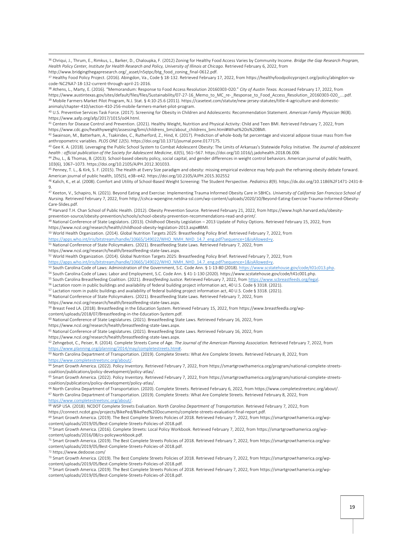<sup>36</sup> Chriqui, J., Thrum, E., Rimkus, L., Barker, D., Chaloupka, F. (2012) Zoning for Healthy Food Access Varies by Community Income. *Bridge the Gap Research Program,*  Health Policy Center, Institute for Health Research and Policy, University of Illinois at Chicago. Retrieved February 6, 2022, from http://www.bridgingthegapresearch.org/\_asset/n5qtpc/btg\_food\_zoning\_final-0612.pdf.

<sup>38</sup> Athens, L., Marty, E. (2016). "Memorandum: Response to Food Access Resolution 20160303-020." *City of Austin Texas.* Accessed February 17, 2022, from https://www.austintexas.gov/sites/default/files/files/Sustainability/07-27-16 Memo to MC re- Response to Food Access Resolution 20160303-020 ....pdf. 39 Mobile Farmers Market Pilot Program, N.J. Stat. § 4:10-25.6 (2011). https://casetext.com/statute/new-jersey-statutes/title-4-agriculture-and-domesticanimals/chapter-410/section-410-256-mobile-farmers-market-pilot-program.

<sup>40</sup> U.S. Preventive Services Task Force. (2017). Screening for Obesity in Children and Adolescents: Recommendation Statement. *American Family Physician 96*(8). https://www.aafp.org/afp/2017/1015/od4.html.

41 Centers for Disease Control and Prevention. (2021). Healthy Weight, Nutrition and Physical Activity: Child and Teen BMI. Retrieved February 7, 2022, from https://www.cdc.gov/healthyweight/assessing/bmi/childrens\_bmi/about\_childrens\_bmi.html#What%20is%20BMI.

 $42$  Swainson, M., Batterham, A., Tsakirides, C., Rutherford, Z., Hind, K. (2017). Prediction of whole-body fat percentage and visceral adipose tissue mass from five anthropometric variables. *PLOS ONE 12*(5). https://doi.org/10.1371/journal.pone.0177175.

<sup>43</sup> Gee K. A. (2018). Leveraging the Public School System to Combat Adolescent Obesity: The Limits of Arkansas's Statewide Policy Initiative. *The Journal of adolescent health : official publication of the Society for Adolescent Medicine*, *63*(5), 561–567. https://doi.org/10.1016/j.jadohealth.2018.06.006

44 Zhu, L., & Thomas, B. (2013). School-based obesity policy, social capital, and gender differences in weight control behaviors. American journal of public health, 103(6), 1067–1073. https://doi.org/10.2105/AJPH.2012.301033.

<sup>45</sup> Penney, T. L., & Kirk, S. F. (2015). The Health at Every Size paradigm and obesity: missing empirical evidence may help push the reframing obesity debate forward. American journal of public health, 105(5), e38–e42. https://doi.org/10.2105/AJPH.2015.302552

<sup>46</sup> Kalich, K., et al. (2008). Comfort and Utility of School-Based Weight Screening: The Student Perspective. *Pediatrics 8*(9). https://dx.doi.org/10.1186%2F1471-2431-8- 9.

<sup>47</sup> Keeton, V., Schapiro, N. (2021). Beyond Eating and Exercise: Implementing Trauma Informed Obesity Care in SBHCs. *University of California San Francisco School of Nursing.* Retrieved February 7, 2022, from http://cshca-wpengine.netdna-ssl.com/wp-content/uploads/2020/10/Beyond-Eating-Exercise-Trauma-Informed-Obesity-Care-Slides.pdf.

48 Harvard T.H. Chan School of Public Health. (2012). Obesity Prevention Source. Retrieved February 21, 2022, from https://www.hsph.harvard.edu/obesityprevention-source/obesity-prevention/schools/school-obesity-prevention-recommendations-read-and-print/.

49 National Conference of State Legislators. (2013). Childhood Obesity Legislation - 2013 Update of Policy Options. Retrieved February 15, 2022, from https://www.ncsl.org/research/health/childhood-obesity-legislation-2013.aspx#BMI.

<sup>50</sup> World Health Organization. (2014). Global Nutrition Targets 2025: Breastfeeding Policy Brief. Retrieved February 7, 2022, from

https://apps.who.int/iris/bitstream/handle/10665/149022/WHO\_NMH\_NHD\_14.7\_eng.pdf?sequence=1&isAllowed=y.

51 National Conference of State Policymakers. (2021). Breastfeeding State Laws. Retrieved February 7, 2022, from

https://www.ncsl.org/research/health/breastfeeding-state-laws.aspx.

<sup>52</sup> World Health Organization. (2014). Global Nutrition Targets 2025: Breastfeeding Policy Brief. Retrieved February 7, 2022, from

https://apps.who.int/iris/bitstream/handle/10665/149022/WHO\_NMH\_NHD\_14.7\_eng.pdf?sequence=1&isAllowed=y.

53 South Carolina Code of Laws: Administration of the Government, S.C. Code Ann. § 1-13-80 (2018). https://www.scstatehouse.gov/code/t01c013.php.

<sup>54</sup> South Carolina Code of Laws: Labor and Employment, S.C. Code Ann. § 41-1-130 (2020). https://www.scstatehouse.gov/code/t41c001.php.

<sup>55</sup> South Carolina Breastfeeding Coalition. (2021). *Breastfeeding Justice.* Retrieved February 7, 2022, fro[m https://www.scbreastfeeds.org/legal.](https://www.scbreastfeeds.org/legal) 

<sup>56</sup> Lactation room in public buildings and availability of federal building project information act, 40 U.S. Code § 3318. (2021).

<sup>57</sup> Lactation room in public buildings and availability of federal building project information act, 40 U.S. Code § 3318. (2021).

<sup>58</sup> National Conference of State Policymakers. (2021). Breastfeeding State Laws. Retrieved February 7, 2022, from

https://www.ncsl.org/research/health/breastfeeding-state-laws.aspx.

59 Breast Feed LA. (2018). Breastfeeding in the Education System. Retrieved February 15, 2022, from https://www.breastfeedla.org/wpcontent/uploads/2018/07/Breastfeeding-in-the-Education-System.pdf.

<sup>60</sup> National Conference of State Legislatures. (2021). Breastfeeding State Laws. Retrieved February 16, 2022, from

https://www.ncsl.org/research/health/breastfeeding-state-laws.aspx.

 $61$  National Conference of State Legislatures. (2021). Breastfeeding State Laws. Retrieved February 16, 2022, from

https://www.ncsl.org/research/health/breastfeeding-state-laws.aspx.

<sup>62</sup> Zehngebot, C., Peiser, R. (2014). Complete Streets Come of Age. *The Journal of the American Planning Association.* Retrieved February 7, 2022, from [https://www.planning.org/planning/2014/may/completestreets.htm#.](https://www.planning.org/planning/2014/may/completestreets.htm) 

63 North Carolina Department of Transportation. (2019). Complete Streets: What Are Complete Streets. Retrieved February 8, 2022, from [https://www.completestreetsnc.org/about/.](https://www.completestreetsnc.org/about/) 

64 Smart Growth America. (2022). Policy Inventory. Retrieved February 7, 2022, from https://smartgrowthamerica.org/program/national-complete-streetscoalition/publications/policy-development/policy-atlas/.

<sup>65</sup> Smart Growth America. (2022). Policy Inventory. Retrieved February 7, 2022, from https://smartgrowthamerica.org/program/national-complete-streetscoalition/publications/policy-development/policy-atlas/.

<sup>66</sup> North Carolina Department of Transportation. (2020). Complete Streets. Retrieved February 6, 2022, from https://www.completestreetsnc.org/about/. <sup>67</sup> North Carolina Department of Transportation. (2019). Complete Streets: What Are Complete Streets. Retrieved February 8, 2022, from

[https://www.completestreetsnc.org/about/.](https://www.completestreetsnc.org/about/) 

<sup>68</sup> WSP USA. (2018). NCDOT Complete Streets Evaluation. *North Carolina Department of Transportation.* Retrieved February 7, 2022, from

https://connect.ncdot.gov/projects/BikePed/BikePed%20Documents/complete-streets-evaluation-final-report.pdf.

69 Smart Growth America. (2019). The Best Complete Streets Policies of 2018. Retrieved February 7, 2022, from https://smartgrowthamerica.org/wpcontent/uploads/2019/05/Best-Complete-Streets-Policies-of-2018.pdf.

70 Smart Growth America. (2016). Complete Streets: Local Policy Workbook. Retrieved February 7, 2022, from https://smartgrowthamerica.org/wpcontent/uploads/2016/08/cs-policyworkbook.pdf.

71 Smart Growth America. (2019). The Best Complete Streets Policies of 2018. Retrieved February 7, 2022, from https://smartgrowthamerica.org/wpcontent/uploads/2019/05/Best-Complete-Streets-Policies-of-2018.pdf.

<sup>72</sup> https://www.dedoose.com/

<sup>73</sup> Smart Growth America. (2019). The Best Complete Streets Policies of 2018. Retrieved February 7, 2022, from https://smartgrowthamerica.org/wpcontent/uploads/2019/05/Best-Complete-Streets-Policies-of-2018.pdf.

74 Smart Growth America. (2019). The Best Complete Streets Policies of 2018. Retrieved February 7, 2022, from https://smartgrowthamerica.org/wpcontent/uploads/2019/05/Best-Complete-Streets-Policies-of-2018.pdf.

<sup>37</sup> Healthy Food Policy Project. (2016). Abingdon, Va., Code § 18-132. Retrieved February 17, 2022, from https://healthyfoodpolicyproject.org/policy/abingdon-vacode-%C2%A7-18-132-current-through-april-21-2016.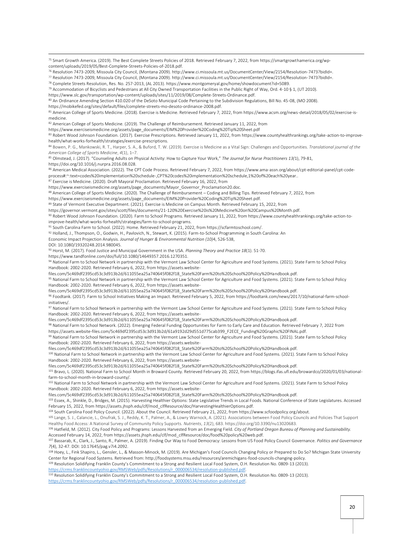75 Smart Growth America. (2019). The Best Complete Streets Policies of 2018. Retrieved February 7, 2022, from https://smartgrowthamerica.org/wpcontent/uploads/2019/05/Best-Complete-Streets-Policies-of-2018.pdf.

<sup>76</sup> Resolution 7473-2009, Missoula City Council, (Montana 2009). http://www.ci.missoula.mt.us/DocumentCenter/View/2154/Resolution-7473?bidId=.

<sup>77</sup> Resolution 7473-2009, Missoula City Council, (Montana 2009). http://www.ci.missoula.mt.us/DocumentCenter/View/2154/Resolution-7473?bidId=.

<sup>78</sup> Complete Streets Resolution, Res. No. 257-2013, (AL 2013). https://www.montgomeryal.gov/home/showdocument?id=5089.

<sup>79</sup> Accommodation of Bicyclists and Pedestrians at All City Owned Transportation Facilities in the Public Right of Way, Ord. 4-10 § 1, (UT 2010).

https://www.slc.gov/transportation/wp-content/uploads/sites/11/2019/08/Complete-Streets-Ordinance.pdf.

80 An Ordinance Amending Section 410.020 of the DeSoto Municipal Code Pertaining to the Subdivision Regulations, Bill No. 45-08, (MO 2008).

https://mobikefed.org/sites/default/files/complete-streets-mo-desoto-ordinance-2008.pdf.

81 American College of Sports Medicine. (2018). Exercise is Medicine. Retrieved February 7, 2022, from https://www.acsm.org/news-detail/2018/05/02/exercise-ismedicine.

82 American College of Sports Medicine. (2019). The Challenge of Reimbursement. Retrieved January 11, 2022, from

https://www.exerciseismedicine.org/assets/page\_documents/EIM%20Provider%20Coding%20Tip%20Sheet.pdf

83 Robert Wood Johnson Foundation. (2017). Exercise Prescriptions. Retrieved January 11, 2022, from https://www.countyhealthrankings.org/take-action-to-improvehealth/what-works-forhealth/strategies/exercise-prescriptions.

<sup>84</sup> Bowen, P. G., Mankowski, R. T., Harper, S. A., & Buford, T. W. (2019). Exercise is Medicine as a Vital Sign: Challenges and Opportunities. *Translational journal of the American College of Sports Medicine*, *4*(1), 1–7.

<sup>85</sup> Olmstead, J. (2017). "Counseling Adults on Physical Activity: How to Capture Your Work," *The Journal for Nurse Practitioners 13(*1), 79-81, https://doi.org/10.1016/j.nurpra.2016.08.028.

86 American Medical Association. (2022). The CPT Code Process. Retrieved February 7, 2022, from https://www.ama-assn.org/about/cpt-editorial-panel/cpt-codeprocess#:~:text=codes%20implementation%20schedule-,CPT%20codes%20implementation%20schedule,1%20of%20each%20year..

87 Exercise is Medicine. (2020). Draft Mayoral Proclamation. Retrieved February 16, 2022, from

https://www.exerciseismedicine.org/assets/page\_documents/Mayor\_Governor\_Proclamation20.doc.

88 American College of Sports Medicine. (2020). The Challenge of Reimbursement - Coding and Billing Tips. Retrieved February 7, 2022, from

https://www.exerciseismedicine.org/assets/page\_documents/EIM%20Provider%20Coding%20Tip%20Sheet.pdf.

89 State of Vermont Executive Department. (2021). Exercise is Medicine on Campus Month. Retrieved February 15, 2022, from

https://governor.vermont.gov/sites/scott/files/documents/21-120%20Exercise%20is%20Medicine%20on%20Campus%20Month.pdf.

90 Robert Wood Johnson Foundation. (2020). Farm to School Programs. Retrieved January 11, 2022, from https://www.countyhealthrankings.org/take-action-toimprove-health/what-works-forhealth/strategies/farm-to-school-programs.

91 South Carolina Farm to School. (2022). Home. Retrieved February 21, 2022, from https://scfarmtoschool.com/.

92 Holland, J., Thompson, O., Godwin, H., Pavlovich, N., Stewart, K. (2015). Farm-to-School Programming in South Carolina: An

Economic Impact Projection Analysis. *Journal of Hunger & Environmental Nutrition (10)*4, 526-538,

DOI: 10.1080/19320248.2014.980045.

<sup>93</sup> Horst, M. (2017). Food Justice and Municipal Government in the USA. *Planning Theory and Practice 18*(1). 51-70.

https://www.tandfonline.com/doi/full/10.1080/14649357.2016.1270351.

94 National Farm to School Network in partnership with the Vermont Law School Center for Agriculture and Food Systems. (2021). State Farm to School Policy Handbook: 2002-2020. Retrieved February 6, 2022, from https://assets.website-

files.com/5c469df2395cd53c3d913b2d/611055ea25a740645f082f18\_State%20Farm%20to%20School%20Policy%20Handbook.pdf.

95 National Farm to School Network in partnership with the Vermont Law School Center for Agriculture and Food Systems. (2021). State Farm to School Policy Handbook: 2002-2020. Retrieved February 6, 2022, from https://assets.website-

files.com/5c469df2395cd53c3d913b2d/611055ea25a740645f082f18\_State%20Farm%20to%20School%20Policy%20Handbook.pdf.

96 Foodtank. (2017). Farm to School Initiatives Making an Impact. Retrieved February 5, 2022, from https://foodtank.com/news/2017/10/national-farm-schoolinitiatives/.

97 National Farm to School Network in partnership with the Vermont Law School Center for Agriculture and Food Systems. (2021). State Farm to School Policy Handbook: 2002-2020. Retrieved February 6, 2022, from https://assets.website-

files.com/5c469df2395cd53c3d913b2d/611055ea25a740645f082f18\_State%20Farm%20to%20School%20Policy%20Handbook.pdf.

98 National Farm to School Network. (2022). Emerging Federal Funding Opportunities for Farm to Early Care and Education. Retrieved February 7, 2022 from https://assets.website-files.com/5c469df2395cd53c3d913b2d/61a9192d29d551d775cab399\_F2ECE\_Funding%20Graphic%20FINAL.pdf.

99 National Farm to School Network in partnership with the Vermont Law School Center for Agriculture and Food Systems. (2021). State Farm to School Policy Handbook: 2002-2020. Retrieved February 6, 2022, from https://assets.website-

files.com/5c469df2395cd53c3d913b2d/611055ea25a740645f082f18\_State%20Farm%20to%20School%20Policy%20Handbook.pdf.

100 National Farm to School Network in partnership with the Vermont Law School Center for Agriculture and Food Systems. (2021). State Farm to School Policy Handbook: 2002-2020. Retrieved February 6, 2022, from https://assets.website-

files.com/5c469df2395cd53c3d913b2d/611055ea25a740645f082f18\_State%20Farm%20to%20School%20Policy%20Handbook.pdf.

101 Bravo, L. (2020). National Farm to School Month in Broward County. Retrieved February 20, 2022, from https://blogs.ifas.ufl.edu/browardco/2020/01/03/nationalfarm-to-school-month-in-broward-county/.

102 National Farm to School Network in partnership with the Vermont Law School Center for Agriculture and Food Systems. (2021). State Farm to School Policy Handbook: 2002-2020. Retrieved February 6, 2022, from https://assets.website-

files.com/5c469df2395cd53c3d913b2d/611055ea25a740645f082f18\_State%20Farm%20to%20School%20Policy%20Handbook.pdf.

103 Essex, A., Shinkle, D., Bridges, M. (2015). Harvesting Healthier Options: State Legislative Trends in Local Foods. National Conference of State Legislatures. Accessed February 15, 2022, from https://assets.jhsph.edu/clf/mod\_clfResource/doc/HarvestingHealthierOptions.pdf.

104 South Carolina Food Policy Council. (2022). About the Council. Retrieved February 21, 2022, from https://www.scfoodpolicy.org/about.

<sup>105</sup> Lange, S. J., Calancie, L., Onufrak, S. J., Reddy, K. T., Palmer, A., & Lowry Warnock, A. (2021). Associations between Food Policy Councils and Policies That Support Healthy Food Access: A National Survey of Community Policy Supports. *Nutrients*, *13*(2), 683. https://doi.org/10.3390/nu13020683.

106 Hatfield, M. (2012). City Food Policy and Programs: Lessons Harvested from an Emerging Field. City of Portland Oregon Bureau of Planning and Sustainability. Accessed February 14, 2022, from https://assets.jhsph.edu/clf/mod\_clfResource/doc/food%20policy%20web.pdf.

<sup>107</sup> Bassarab, K., Clark, J., Santo, R., Palmer, A. (2019). Finding Our Way to Food Democracy: Lessons from US Food Policy Council Governance. *Politics and Governance 7*(4), 32-47. DOI: 10.17645/pag.v7i4.2092.

108 Hoey, L., Fink Shapiro, L., Gensler, L., & Masson-Minock, M. (2019). Are Michigan's Food Councils Changing Policy or Prepared to Do So? Michigan State University Center for Regional Food Systems. Retrieved from: http://foodsystems.msu.edu/resources/aremichigans-food-councils-changing-policy.

109 Resolution Solidifying Franklin County's Commitment to a Strong and Resilient Local Food System, O.H. Resolution No. 0809-13 (2013).

[https://crms.franklincountyohio.gov/RMSWeb/pdfs/Resolutions/r\\_000006534/resolution-published.pdf.](https://crms.franklincountyohio.gov/RMSWeb/pdfs/Resolutions/r_000006534/resolution-published.pdf) 

<sup>110</sup> Resolution Solidifying Franklin County's Commitment to a Strong and Resilient Local Food System, O.H. Resolution No. 0809-13 (2013). [https://crms.franklincountyohio.gov/RMSWeb/pdfs/Resolutions/r\\_000006534/resolution-published.pdf.](https://crms.franklincountyohio.gov/RMSWeb/pdfs/Resolutions/r_000006534/resolution-published.pdf)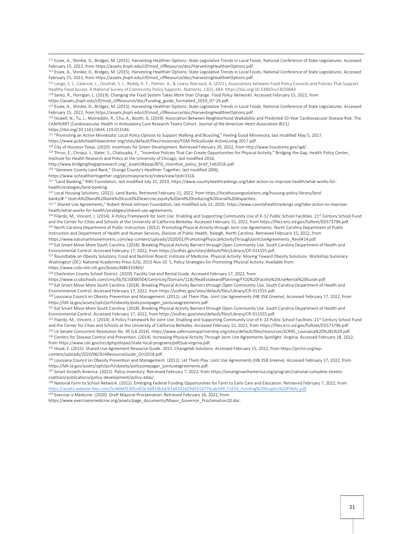<sup>111</sup> Essex, A., Shinkle, D., Bridges, M. (2015). Harvesting Healthier Options: State Legislative Trends in Local Foods. National Conference of State Legislatures. Accessed February 15, 2022, from https://assets.jhsph.edu/clf/mod\_clfResource/doc/HarvestingHealthierOptions.pdf.

<sup>112</sup> Essex, A., Shinkle, D., Bridges, M. (2015). Harvesting Healthier Options: State Legislative Trends in Local Foods. National Conference of State Legislatures. Accessed February 15, 2022, from https://assets.jhsph.edu/clf/mod\_clfResource/doc/HarvestingHealthierOptions.pdf.

113 Lange, S. J., Calancie, L., Onufrak, S. J., Reddy, K. T., Palmer, A., & Lowry Warnock, A. (2021). Associations between Food Policy Councils and Policies That Support Healthy Food Access: A National Survey of Community Policy Supports. *Nutrients*, *13*(2), 683. https://doi.org/10.3390/nu13020683

<sup>114</sup> Santo, R., Horrigan, L. (2019). Changing the Food System Takes More than Change. *Food Policy Networks.* Accessed February 15, 2022, from

https://assets.jhsph.edu/clf/mod\_clfResource/doc/Funding\_guide\_formatted\_2019\_07-24.pdf.

<sup>115</sup> Essex, A., Shinkle, D., Bridges, M. (2015). Harvesting Healthier Options: State Legislative Trends in Local Foods. National Conference of State Legislatures. Accessed February 15, 2022, from https://assets.jhsph.edu/clf/mod\_clfResource/doc/HarvestingHealthierOptions.pdf.

<sup>116</sup> Howell, N., Tu, J., Moineddin, R., Chu, A., Booth, G. (2019). Association Between Neighborhood Walkability and Predicted 10-Year Cardiovascular Disease Risk: The CANHEART (Cardiovascular Health in Ambulatory Care Research Team) Cohort. *Journal of the American Heart Association 8*(21).

https://doi.org/10.1161/JAHA.119.013146.

<sup>117</sup> "Promoting an Active Minnesota: Local Policy Options to Support Walking and Bicycling," Feeling Good Minnesota, last modified May 5, 2017,

https://www.publichealthlawcenter.org/sites/default/files/resources/FGM-PolicyGuide-ActiveLiving-2017.pdf.

<sup>118</sup> City of Houston Texas. (2020). Incentives for Green Development. Retrieved February 20, 2022, from http://www.houstontx.gov/igd/.

119 Thrun, E., Chriqui, J., Slater, S., Chaloupka, F., "Incentive Policies That Can Create Opportunities for Physical Activity," Bridging the Gap, Health Policy Center,

Institute for Health Research and Policy at the University of Chicago, last modified 2016,

http://www.bridgingthegapresearch.org/\_asset/dkbyqs/BTG\_incentive\_policy\_brief\_Feb2016.pdf.

<sup>120</sup> "Genesee County Land Bank," Orange County's Healthier Together, last modified 2006,

https://www.ochealthiertogether.org/promisepractice/index/view?pid=3316.

<sup>121</sup> "Land Banking," RWJ Foundation, last modified July 31, 2019, https://www.countyhealthrankings.org/take-action-to-improve-health/what-works-forhealth/strategies/land-banking.

122 Local Housing Solutions. (2021). Land Banks. Retrieved February 21, 2022, from https://localhousingsolutions.org/housing-policy-library/land-

banks/#:~:text=A%20land%20bank%20could%20exercise,equity%20and%20reducing%20racial%20disparities..

123 " Shared Use Agreements," Robert Wood Johnson Foundation, last modified July 13, 2020, https://www.countyhealthrankings.org/take-action-to-improvehealth/what-works-for-health/strategies/shared-use-agreements.

<sup>124</sup> Filardo, M., Vincent, J. (2014). A Policy Framework for Joint Use: Enabling and Supporting Community Use of K-12 Public School Facilities. 21<sup>st</sup> Century School Fund and the Center for Cities and Schools at the University of California Berkeley. Accessed February 15, 2022, from https://files.eric.ed.gov/fulltext/ED573796.pdf. 125 North Carolina Department of Public Instruction. (2012). Promoting Physical Activity through Joint Use Agreements. North Carolina Department of Public

Instruction and Department of Health and Human Services, Division of Public Health, Raleigh, North Carolina. Retrieved February 15, 2022, from https://www.eatsmartmovemorenc.com/wp-content/uploads/2020/01/PromotingPhysicalActivityThroughJointUseAgreements\_Rev0414.pdf.

126 Eat Smart Move More South Carolina. (2018). Breaking Physical Activity Barriers through Open Community Use. South Carolina Department of Health and Environmental Control. Accessed February 17, 2022, from https://scdhec.gov/sites/default/files/Library/CR-011555.pdf.

<sup>127</sup> Roundtable on Obesity Solutions; Food and Nutrition Board; Institute of Medicine. Physical Activity: Moving Toward Obesity Solutions: Workshop Summary. Washington (DC): National Academies Press (US); 2015 Nov 10. 5, Policy Strategies for Promoting Physical Activity. Available from:

https://www.ncbi.nlm.nih.gov/books/NBK333465/

<sup>128</sup> Charleston County School District. (2020). Facility Use and Rental Guide. Accessed February 17, 2022, from

https://www.ccsdschools.com/cms/lib/SC50000504/Centricity/Domain/118//RealEstateandPlanning/FY20%20Facility%20UseRental%20Guide.pdf. <sup>129</sup> Eat Smart Move More South Carolina. (2018). Breaking Physical Activity Barriers through Open Community Use. South Carolina Department of Health and Environmental Control. Accessed February 17, 2022, from https://scdhec.gov/sites/default/files/Library/CR-011555.pdf.

130 Louisiana Council on Obesity Prevention and Management. (2011). Let Them Play: Joint Use Agreements (HB 358 Greene). Accessed February 17, 2022, from https://ldh.la.gov/assets/oph/pcrh/obesity/policyonepager\_jointuseagreements.pdf.

131 Eat Smart Move More South Carolina. (2018). Breaking Physical Activity Barriers through Open Community Use. South Carolina Department of Health and Environmental Control. Accessed February 17, 2022, from https://scdhec.gov/sites/default/files/Library/CR-011555.pdf.

132 Filardo, M., Vincent, J. (2014). A Policy Framework for Joint Use: Enabling and Supporting Community Use of K-12 Public School Facilities. 21st Century School Fund and the Center for Cities and Schools at the University of California Berkeley. Accessed February 15, 2022, from https://files.eric.ed.gov/fulltext/ED573796.pdf. <sup>133</sup> LA Senate Concurrent Resolution No. 95 (LA 2014). https://www.saferoutespartnership.org/sites/default/files/resources/SCR95\_Louisiana%20%281%29.pdf.

<sup>134</sup> Centers for Disease Control and Prevention. (2014). Increasing Physical Activity Through Joint-Use Agreements Spotlight: Virginia. Accessed February 18, 2022, from https://www.cdc.gov/nccdphp/dnpao/state-local-programs/pdf/jua-virginia.pdf.

135 Hood, E. (2015). Shared Use Agreement Resource Guide: 2015. Changelab Solutions. Accessed February 15, 2022, from https://prchn.org/wpcontent/uploads/2020/06/SUAResourceGuide\_Oct2018.pdf.

<sup>136</sup> Louisiana Council on Obesity Prevention and Management. (2011). Let Them Play: Joint Use Agreements (HB 358 Greene). Accessed February 17, 2022, from https://ldh.la.gov/assets/oph/pcrh/obesity/policyonepager\_jointuseagreements.pdf.

137 Smart Growth America. (2022). Policy Inventory. Retrieved February 7, 2022, from https://smartgrowthamerica.org/program/national-complete-streetscoalition/publications/policy-development/policy-atlas/.

138 National Farm to School Network. (2022). Emerging Federal Funding Opportunities for Farm to Early Care and Education. Retrieved February 7, 2022, from [https://assets.website-files.com/5c469df2395cd53c3d913b2d/61a9192d29d551d775cab399\\_F2ECE\\_Funding%20Graphic%20FINAL.pdf.](https://assets.website-files.com/5c469df2395cd53c3d913b2d/61a9192d29d551d775cab399_F2ECE_Funding%20Graphic%20FINAL.pdf) 

139 Exercise is Medicine. (2020). Draft Mayoral Proclamation. Retrieved February 16, 2022, from

https://www.exerciseismedicine.org/assets/page\_documents/Mayor\_Governor\_Proclamation20.doc.